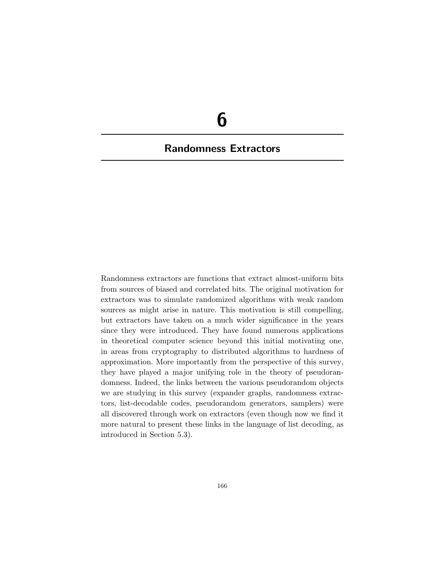# **6**

# **Randomness Extractors**

Randomness extractors are functions that extract almost-uniform bits from sources of biased and correlated bits. The original motivation for extractors was to simulate randomized algorithms with weak random sources as might arise in nature. This motivation is still compelling, but extractors have taken on a much wider significance in the years since they were introduced. They have found numerous applications in theoretical computer science beyond this initial motivating one, in areas from cryptography to distributed algorithms to hardness of approximation. More importantly from the perspective of this survey, they have played a major unifying role in the theory of pseudorandomness. Indeed, the links between the various pseudorandom objects we are studying in this survey (expander graphs, randomness extractors, list-decodable codes, pseudorandom generators, samplers) were all discovered through work on extractors (even though now we find it more natural to present these links in the language of list decoding, as introduced in Section 5.3).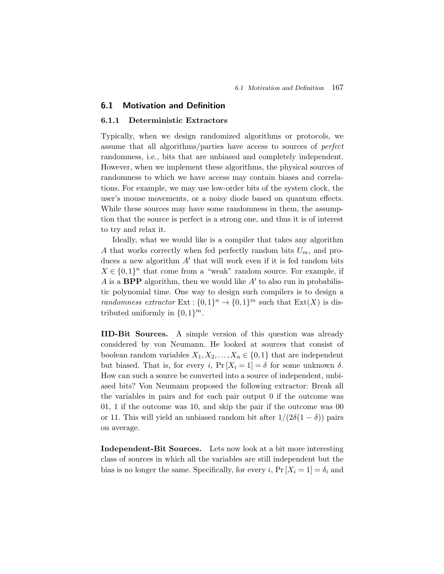# **6.1 Motivation and Definition**

#### **6.1.1 Deterministic Extractors**

Typically, when we design randomized algorithms or protocols, we assume that all algorithms/parties have access to sources of *perfect* randomness, i.e., bits that are unbiased and completely independent. However, when we implement these algorithms, the physical sources of randomness to which we have access may contain biases and correlations. For example, we may use low-order bits of the system clock, the user's mouse movements, or a noisy diode based on quantum effects. While these sources may have some randomness in them, the assumption that the source is perfect is a strong one, and thus it is of interest to try and relax it.

Ideally, what we would like is a compiler that takes any algorithm A that works correctly when fed perfectly random bits  $U_m$ , and produces a new algorithm  $A'$  that will work even if it is fed random bits  $X \in \{0,1\}^n$  that come from a "weak" random source. For example, if A is a **BPP** algorithm, then we would like  $A'$  to also run in probabilistic polynomial time. One way to design such compilers is to design a *randomness extractor* Ext :  $\{0,1\}^n \to \{0,1\}^m$  such that Ext(X) is distributed uniformly in  $\{0,1\}^m$ .

**IID-Bit Sources.** A simple version of this question was already considered by von Neumann. He looked at sources that consist of boolean random variables  $X_1, X_2, \ldots, X_n \in \{0,1\}$  that are independent but biased. That is, for every i,  $Pr[X_i = 1] = \delta$  for some unknown  $\delta$ . How can such a source be converted into a source of independent, unbiased bits? Von Neumann proposed the following extractor: Break all the variables in pairs and for each pair output 0 if the outcome was 01, 1 if the outcome was 10, and skip the pair if the outcome was 00 or 11. This will yield an unbiased random bit after  $1/(2\delta(1-\delta))$  pairs on average.

**Independent-Bit Sources.** Lets now look at a bit more interesting class of sources in which all the variables are still independent but the bias is no longer the same. Specifically, for every i,  $Pr[X_i = 1] = \delta_i$  and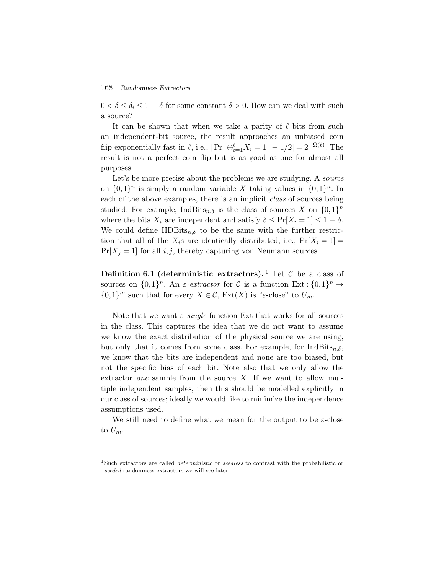$0 < \delta \leq \delta_i \leq 1 - \delta$  for some constant  $\delta > 0$ . How can we deal with such a source?

It can be shown that when we take a parity of  $\ell$  bits from such an independent-bit source, the result approaches an unbiased coin  $0 < \delta \le \delta_i \le 1 - \delta$  for some constant  $\delta > 0$ . How can we deal with such a source?<br>It can be shown that when we take a parity of  $\ell$  bits from such an independent-bit source, the result approaches an unbiased coin flip ex result is not a perfect coin flip but is as good as one for almost all purposes.

Let's be more precise about the problems we are studying. A *source* on  $\{0,1\}^n$  is simply a random variable X taking values in  $\{0,1\}^n$ . In each of the above examples, there is an implicit *class* of sources being studied. For example, IndBits<sub>n,δ</sub> is the class of sources X on  $\{0,1\}^n$ where the bits  $X_i$  are independent and satisfy  $\delta \leq \Pr[X_i = 1] \leq 1 - \delta$ . We could define IIDBits<sub>n</sub> $\delta$  to be the same with the further restriction that all of the  $X_i$ s are identically distributed, i.e.,  $Pr[X_i = 1] =$  $Pr[X_i = 1]$  for all i, j, thereby capturing von Neumann sources.

**Definition 6.1 (deterministic extractors).** <sup>1</sup> Let  $\mathcal{C}$  be a class of sources on  $\{0,1\}^n$ . An  $\varepsilon$ -extractor for C is a function Ext :  $\{0,1\}^n \to$  ${0,1}^m$  such that for every  $X \in \mathcal{C}$ ,  $\text{Ext}(X)$  is " $\varepsilon$ -close" to  $U_m$ .

Note that we want a *single* function Ext that works for all sources in the class. This captures the idea that we do not want to assume we know the exact distribution of the physical source we are using, but only that it comes from some class. For example, for  $IndBits_{n,\delta}$ , we know that the bits are independent and none are too biased, but not the specific bias of each bit. Note also that we only allow the extractor *one* sample from the source X. If we want to allow multiple independent samples, then this should be modelled explicitly in our class of sources; ideally we would like to minimize the independence assumptions used.

We still need to define what we mean for the output to be  $\varepsilon$ -close to  $U_m$ .

<sup>&</sup>lt;sup>1</sup> Such extractors are called *deterministic* or *seedless* to contrast with the probabilistic or seeded randomness extractors we will see later.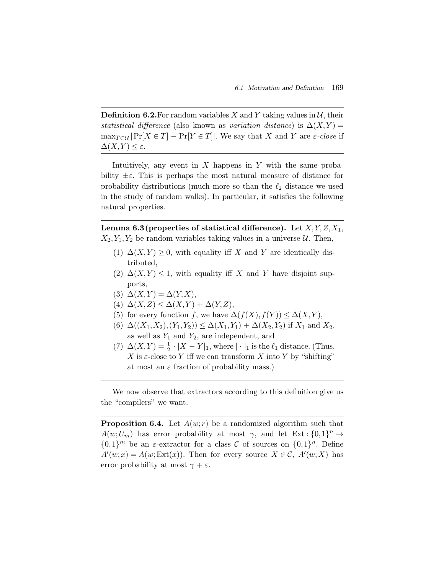**Definition 6.2.** For random variables X and Y taking values in  $\mathcal{U}$ , their *statistical difference* (also known as *variation distance*) is  $\Delta(X, Y) =$  $\max_{T \subset \mathcal{U}} |Pr[X \in T] - Pr[Y \in T]|$ . We say that X and Y are  $\varepsilon$ -close if  $\Delta(X,Y) \leq \varepsilon$ .

Intuitively, any event in  $X$  happens in  $Y$  with the same probability  $\pm \varepsilon$ . This is perhaps the most natural measure of distance for probability distributions (much more so than the  $\ell_2$  distance we used in the study of random walks). In particular, it satisfies the following natural properties.

**Lemma 6.3 (properties of statistical difference).** Let  $X, Y, Z, X_1$ ,  $X_2, Y_1, Y_2$  be random variables taking values in a universe  $U$ . Then,

- (1)  $\Delta(X,Y) \geq 0$ , with equality iff X and Y are identically distributed,
- (2)  $\Delta(X,Y) \leq 1$ , with equality iff X and Y have disjoint supports,
- (3)  $\Delta(X,Y) = \Delta(Y,X)$ ,
- (4)  $\Delta(X,Z) \leq \Delta(X,Y) + \Delta(Y,Z)$ ,
- (5) for every function f, we have  $\Delta(f(X),f(Y)) \leq \Delta(X,Y)$ ,
- (6)  $\Delta((X_1,X_2),(Y_1,Y_2)) \leq \Delta(X_1,Y_1) + \Delta(X_2,Y_2)$  if  $X_1$  and  $X_2$ , as well as  $Y_1$  and  $Y_2$ , are independent, and
- (7)  $\Delta(X,Y) = \frac{1}{2} \cdot |X Y|_1$ , where  $|\cdot|_1$  is the  $\ell_1$  distance. (Thus, X is  $\varepsilon$ -close to Y iff we can transform X into Y by "shifting" at most an  $\varepsilon$  fraction of probability mass.)

We now observe that extractors according to this definition give us the "compilers" we want.

**Proposition 6.4.** Let  $A(w; r)$  be a randomized algorithm such that  $A(w;U_m)$  has error probability at most  $\gamma$ , and let Ext :  $\{0,1\}^n \to$  $\{0,1\}^m$  be an *ε*-extractor for a class C of sources on  $\{0,1\}^n$ . Define  $A'(w;x) = A(w; \text{Ext}(x))$ . Then for every source  $X \in \mathcal{C}$ ,  $A'(w;X)$  has error probability at most  $\gamma + \varepsilon$ .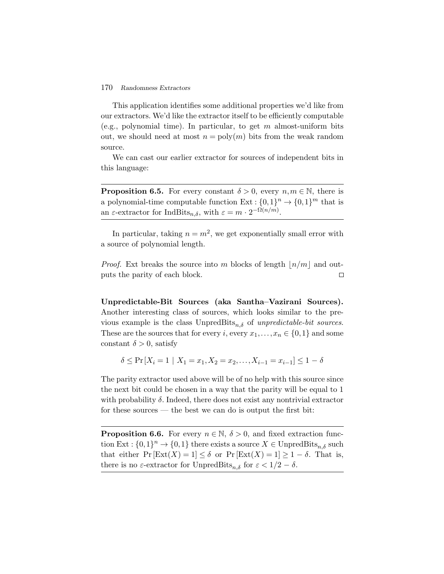This application identifies some additional properties we'd like from our extractors. We'd like the extractor itself to be efficiently computable (e.g., polynomial time). In particular, to get  $m$  almost-uniform bits out, we should need at most  $n = \text{poly}(m)$  bits from the weak random source.

We can cast our earlier extractor for sources of independent bits in this language:

**Proposition 6.5.** For every constant  $\delta > 0$ , every  $n, m \in \mathbb{N}$ , there is a polynomial-time computable function  $Ext: \{0,1\}^n \to \{0,1\}^m$  that is an  $\varepsilon$ -extractor for IndBits<sub>n,δ</sub>, with  $\varepsilon = m \cdot 2^{-\Omega(n/m)}$ .

In particular, taking  $n = m^2$ , we get exponentially small error with a source of polynomial length.

*Proof.* Ext breaks the source into m blocks of length  $n/m$  and outputs the parity of each block.  $\Box$ 

**Unpredictable-Bit Sources (aka Santha–Vazirani Sources).** Another interesting class of sources, which looks similar to the previous example is the class  $UnpredBits_{n,\delta}$  of *unpredictable-bit sources*. These are the sources that for every i, every  $x_1, \ldots, x_n \in \{0,1\}$  and some constant  $\delta > 0$ , satisfy

$$
\delta \le \Pr\left[X_i = 1 \mid X_1 = x_1, X_2 = x_2, \dots, X_{i-1} = x_{i-1}\right] \le 1 - \delta
$$

The parity extractor used above will be of no help with this source since the next bit could be chosen in a way that the parity will be equal to 1 with probability  $\delta$ . Indeed, there does not exist any nontrivial extractor for these sources — the best we can do is output the first bit:

**Proposition 6.6.** For every  $n \in \mathbb{N}$ ,  $\delta > 0$ , and fixed extraction function Ext :  $\{0,1\}^n \to \{0,1\}$  there exists a source  $X \in \text{UnpredBits}_{n,\delta}$  such that either  $Pr [Ext(X) = 1] \leq \delta$  or  $Pr [Ext(X) = 1] \geq 1 - \delta$ . That is, there is no  $\varepsilon$ -extractor for UnpredBits<sub>n,δ</sub> for  $\varepsilon < 1/2 - \delta$ .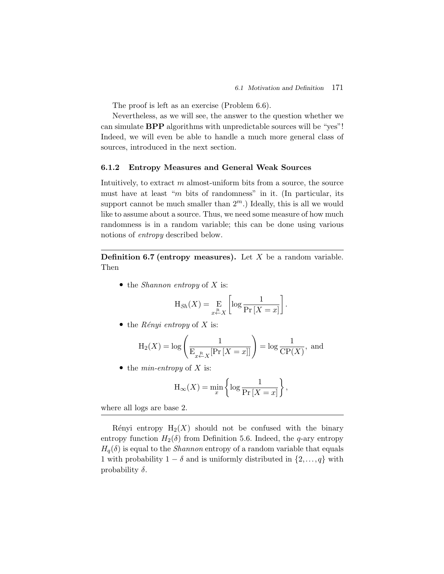The proof is left as an exercise (Problem 6.6).

Nevertheless, as we will see, the answer to the question whether we can simulate **BPP** algorithms with unpredictable sources will be "yes"! Indeed, we will even be able to handle a much more general class of sources, introduced in the next section.

#### **6.1.2 Entropy Measures and General Weak Sources**

Intuitively, to extract  $m$  almost-uniform bits from a source, the source must have at least "m bits of randomness" in it. (In particular, its support cannot be much smaller than  $2<sup>m</sup>$ .) Ideally, this is all we would like to assume about a source. Thus, we need some measure of how much randomness is in a random variable; this can be done using various notions of *entropy* described below.

**Definition 6.7 (entropy measures).** Let X be a random variable. Then

• the *Shannon entropy* of X is:

$$
H_{Sh}(X) = \mathop{\mathrm{E}}\limits_{x \stackrel{R}{\leftarrow} X} \left[ \log \frac{1}{\Pr\left[X = x\right]} \right].
$$

• the *Rényi entropy* of  $X$  is:

$$
H_{Sh}(X) = \underset{x \stackrel{R}{\leftarrow} X}{\text{E}} \left[ \log \frac{1}{\Pr[X = x]} \right].
$$
  
\n9: *Rényi entropy* of *X* is:  
\n
$$
H_2(X) = \log \left( \frac{1}{\mathcal{E}_{x \stackrel{R}{\leftarrow} X}[\Pr[X = x]]} \right) = \log \frac{1}{\text{CP}(X)}, \text{ and}
$$

• the *min-entropy* of X is:

$$
H_{\infty}(X) = \min_{x} \left\{ \log \frac{1}{\Pr\left[X = x\right]} \right\},\
$$

where all logs are base 2.

Rényi entropy  $H_2(X)$  should not be confused with the binary entropy function  $H_2(\delta)$  from Definition 5.6. Indeed, the q-ary entropy  $H_q(\delta)$  is equal to the *Shannon* entropy of a random variable that equals 1 with probability  $1 - \delta$  and is uniformly distributed in  $\{2,\ldots,q\}$  with probability  $\delta$ .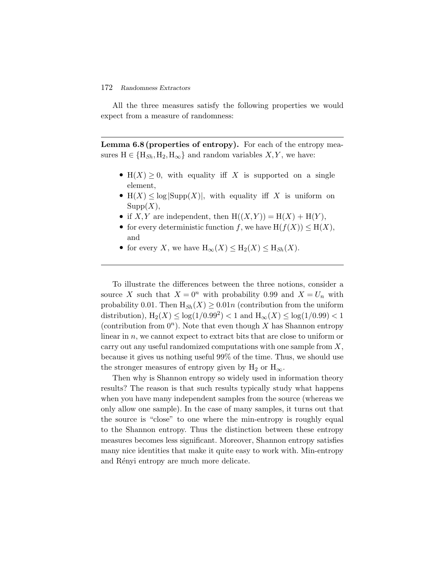All the three measures satisfy the following properties we would expect from a measure of randomness:

Lemma 6.8 (properties of entropy). For each of the entropy measures  $H \in \{H_{Sh}, H_2, H_\infty\}$  and random variables  $X, Y$ , we have:

- H(X)  $\geq$  0, with equality iff X is supported on a single element,
- H(X)  $\leq$  log  $|\text{Supp}(X)|$ , with equality if X is uniform on  $Supp(X),$
- if X, Y are independent, then  $H((X,Y)) = H(X) + H(Y)$ ,
- for every deterministic function f, we have  $H(f(X)) \leq H(X)$ , and
- for every X, we have  $H_{\infty}(X) \leq H_2(X) \leq H_{Sh}(X)$ .

To illustrate the differences between the three notions, consider a source X such that  $X = 0^n$  with probability 0.99 and  $X = U_n$  with probability 0.01. Then  $H_{Sh}(X) \geq 0.01n$  (contribution from the uniform distribution),  $H_2(X) \le \log(1/0.99^2) < 1$  and  $H_{\infty}(X) \le \log(1/0.99) < 1$ (contribution from  $0^n$ ). Note that even though X has Shannon entropy linear in  $n$ , we cannot expect to extract bits that are close to uniform or carry out any useful randomized computations with one sample from  $X$ , because it gives us nothing useful 99% of the time. Thus, we should use the stronger measures of entropy given by  $H_2$  or  $H_{\infty}$ .

Then why is Shannon entropy so widely used in information theory results? The reason is that such results typically study what happens when you have many independent samples from the source (whereas we only allow one sample). In the case of many samples, it turns out that the source is "close" to one where the min-entropy is roughly equal to the Shannon entropy. Thus the distinction between these entropy measures becomes less significant. Moreover, Shannon entropy satisfies many nice identities that make it quite easy to work with. Min-entropy and Rényi entropy are much more delicate.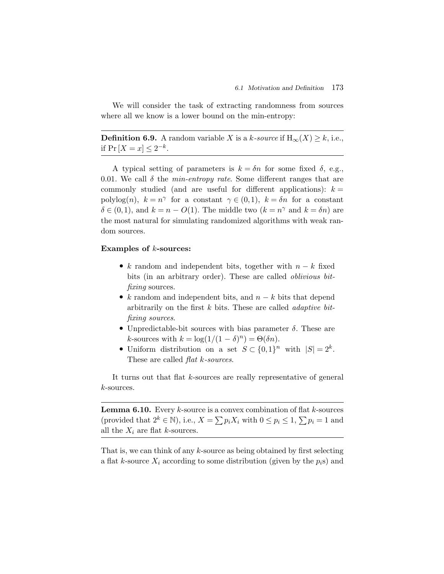We will consider the task of extracting randomness from sources where all we know is a lower bound on the min-entropy:

**Definition 6.9.** A random variable X is a k-source if  $H_{\infty}(X) \geq k$ , i.e., if  $Pr[X = x] < 2^{-k}$ .

A typical setting of parameters is  $k = \delta n$  for some fixed  $\delta$ , e.g., 0.01. We call  $\delta$  the *min-entropy rate*. Some different ranges that are commonly studied (and are useful for different applications):  $k =$ polylog(n),  $k = n^{\gamma}$  for a constant  $\gamma \in (0,1)$ ,  $k = \delta n$  for a constant  $\delta \in (0,1)$ , and  $k = n - O(1)$ . The middle two  $(k = n^{\gamma} \text{ and } k = \delta n)$  are the most natural for simulating randomized algorithms with weak random sources.

#### **Examples of** k**-sources:**

- k random and independent bits, together with  $n k$  fixed bits (in an arbitrary order). These are called *oblivious bitfixing* sources.
- k random and independent bits, and  $n k$  bits that depend arbitrarily on the first k bits. These are called *adaptive bitfixing sources*.
- Unpredictable-bit sources with bias parameter  $\delta$ . These are k-sources with  $k = \log(1/(1 - \delta)^n) = \Theta(\delta n)$ .
- Uniform distribution on a set  $S \subset \{0,1\}^n$  with  $|S| = 2^k$ . These are called *flat* k*-sources*.

It turns out that flat k-sources are really representative of general k-sources.

**Lemma 6.10.** Every  $k$ -source is a convex combination of flat  $k$ -sources (provided that  $2^k \in \mathbb{N}$ ), i.e.,  $X = \sum p_i X_i$  with  $0 \le p_i \le 1$ ,  $\sum p_i = 1$  and all the  $X_i$  are flat k-sources.

That is, we can think of any  $k$ -source as being obtained by first selecting a flat k-source  $X_i$  according to some distribution (given by the  $p_i$ s) and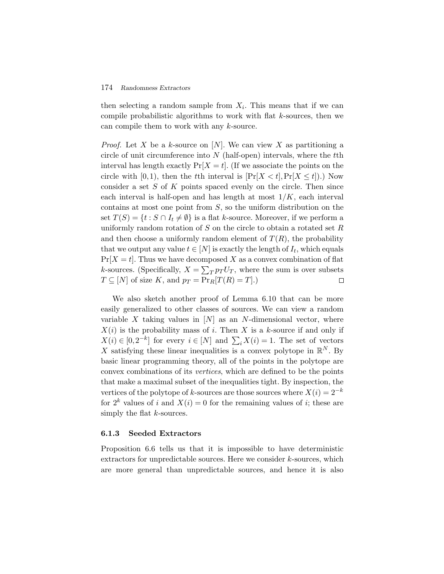then selecting a random sample from  $X_i$ . This means that if we can compile probabilistic algorithms to work with flat  $k$ -sources, then we can compile them to work with any k-source.

*Proof.* Let X be a k-source on [N]. We can view X as partitioning a circle of unit circumference into  $N$  (half-open) intervals, where the  $t$ th interval has length exactly  $Pr[X = t]$ . (If we associate the points on the circle with [0,1], then the tth interval is  $[\Pr[X < t], \Pr[X \le t])$ .) Now consider a set  $S$  of  $K$  points spaced evenly on the circle. Then since each interval is half-open and has length at most  $1/K$ , each interval contains at most one point from  $S$ , so the uniform distribution on the set  $T(S) = \{t : S \cap I_t \neq \emptyset\}$  is a flat k-source. Moreover, if we perform a uniformly random rotation of S on the circle to obtain a rotated set R and then choose a uniformly random element of  $T(R)$ , the probability that we output any value  $t \in [N]$  is exactly the length of  $I_t$ , which equals  $Pr[X$ uniformly random rotation of  $S$  on the circle to obtain a rotated set  $R$ and then choose a uniformly random element of  $T(R)$ , the probability that we output any value  $t \in [N]$  is exactly the length of  $I_t$ , which equals  $Pr[X = t]$ . Thus we have decomposed X as a convex combination of flat  $T \subseteq [N]$  of size K, and  $p_T = \Pr_R[T(R) = T]$ .)  $\Box$ 

We also sketch another proof of Lemma 6.10 that can be more easily generalized to other classes of sources. We can view a random variable X taking values in  $[N]$  as an N-dimensional vector, where  $X(i)$  is the probability mass of i. Then X is a k-source if and only if We also sketch another proof of Lemma 6.10 that can be more<br>easily generalized to other classes of sources. We can view a random<br>variable X taking values in  $[N]$  as an N-dimensional vector, where<br> $X(i)$  is the probability X satisfying these linear inequalities is a convex polytope in  $\mathbb{R}^N$ . By basic linear programming theory, all of the points in the polytope are convex combinations of its *vertices*, which are defined to be the points that make a maximal subset of the inequalities tight. By inspection, the vertices of the polytope of k-sources are those sources where  $X(i)=2^{-k}$ for  $2^k$  values of i and  $X(i) = 0$  for the remaining values of i; these are simply the flat  $k$ -sources.

#### **6.1.3 Seeded Extractors**

Proposition 6.6 tells us that it is impossible to have deterministic extractors for unpredictable sources. Here we consider k-sources, which are more general than unpredictable sources, and hence it is also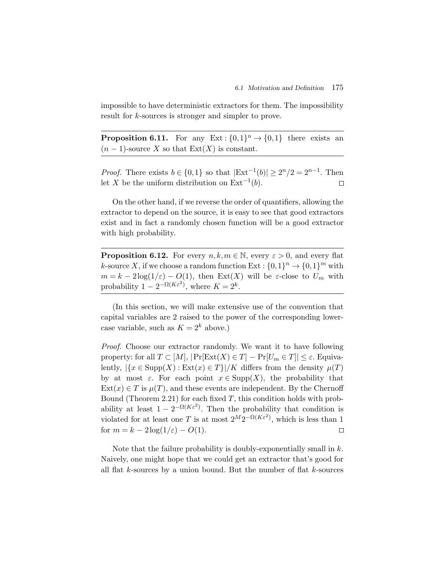impossible to have deterministic extractors for them. The impossibility result for k-sources is stronger and simpler to prove.

**Proposition 6.11.** For any Ext :  $\{0,1\}^n \rightarrow \{0,1\}$  there exists an  $(n-1)$ -source X so that Ext $(X)$  is constant.

*Proof.* There exists  $b \in \{0,1\}$  so that  $|\text{Ext}^{-1}(b)| \geq 2^n/2 = 2^{n-1}$ . Then let X be the uniform distribution on  $Ext^{-1}(b)$ .  $\Box$ 

On the other hand, if we reverse the order of quantifiers, allowing the extractor to depend on the source, it is easy to see that good extractors exist and in fact a randomly chosen function will be a good extractor with high probability.

**Proposition 6.12.** For every  $n, k, m \in \mathbb{N}$ , every  $\varepsilon > 0$ , and every flat k-source X, if we choose a random function  $Ext: \{0,1\}^n \to \{0,1\}^m$  with  $m = k - 2\log(1/\varepsilon) - O(1)$ , then Ext(X) will be  $\varepsilon$ -close to  $U_m$  with probability  $1 - 2^{-\Omega(K\varepsilon^2)}$ , where  $K = 2^k$ .

(In this section, we will make extensive use of the convention that capital variables are 2 raised to the power of the corresponding lowercase variable, such as  $K = 2^k$  above.)

*Proof.* Choose our extractor randomly. We want it to have following property: for all  $T \subset [M], |\Pr[\text{Ext}(X) \in T] - \Pr[U_m \in T]| \leq \varepsilon$ . Equivalently,  $|\{x \in \text{Supp}(X) : \text{Ext}(x) \in T\}|/K$  differs from the density  $\mu(T)$ by at most  $\varepsilon$ . For each point  $x \in \text{Supp}(X)$ , the probability that  $Ext(x) \in T$  is  $\mu(T)$ , and these events are independent. By the Chernoff Bound (Theorem 2.21) for each fixed  $T$ , this condition holds with probability at least  $1 - 2^{-\Omega(K\varepsilon^2)}$ . Then the probability that condition is violated for at least one T is at most  $2^M 2^{-\Omega(K\varepsilon^2)}$ , which is less than 1 for  $m = k - 2\log(1/\varepsilon) - O(1)$ .  $\Box$ 

Note that the failure probability is doubly-exponentially small in  $k$ . Naively, one might hope that we could get an extractor that's good for all flat  $k$ -sources by a union bound. But the number of flat  $k$ -sources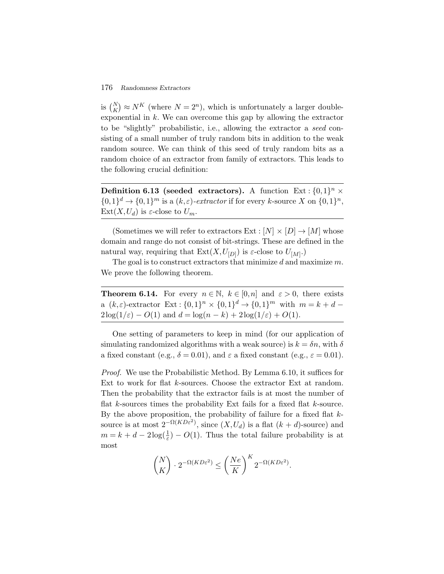176 Randomness Extractors<br>
is  $\binom{N}{K} \approx N^K$  (where  $N = 2^n$ ), which is unfortunately a larger doubleexponential in  $k$ . We can overcome this gap by allowing the extractor to be "slightly" probabilistic, i.e., allowing the extractor a *seed* consisting of a small number of truly random bits in addition to the weak random source. We can think of this seed of truly random bits as a random choice of an extractor from family of extractors. This leads to the following crucial definition:

**Definition 6.13 (seeded extractors).** A function  $Ext: \{0,1\}^n \times$  $\{0,1\}^d \to \{0,1\}^m$  is a  $(k,\varepsilon)$ -extractor if for every k-source X on  $\{0,1\}^n$ ,  $Ext(X, U_d)$  is  $\varepsilon$ -close to  $U_m$ .

(Sometimes we will refer to extractors  $Ext : [N] \times [D] \rightarrow [M]$  whose domain and range do not consist of bit-strings. These are defined in the natural way, requiring that  $Ext(X, U_{[D]})$  is  $\varepsilon$ -close to  $U_{[M]}$ .)

The goal is to construct extractors that minimize  $d$  and maximize  $m$ . We prove the following theorem.

**Theorem 6.14.** For every  $n \in \mathbb{N}$ ,  $k \in [0,n]$  and  $\varepsilon > 0$ , there exists a  $(k, \varepsilon)$ -extractor Ext :  $\{0,1\}^n \times \{0,1\}^d \to \{0,1\}^m$  with  $m = k + d$  $2\log(1/\varepsilon) - O(1)$  and  $d = \log(n - k) + 2\log(1/\varepsilon) + O(1)$ .

One setting of parameters to keep in mind (for our application of simulating randomized algorithms with a weak source) is  $k = \delta n$ , with  $\delta$ a fixed constant (e.g.,  $\delta = 0.01$ ), and  $\varepsilon$  a fixed constant (e.g.,  $\varepsilon = 0.01$ ).

*Proof.* We use the Probabilistic Method. By Lemma 6.10, it suffices for Ext to work for flat k-sources. Choose the extractor Ext at random. Then the probability that the extractor fails is at most the number of flat  $k$ -sources times the probability Ext fails for a fixed flat  $k$ -source. By the above proposition, the probability of failure for a fixed flat  $k$ source is at most  $2^{-\Omega(KD\varepsilon^2)}$ , since  $(X, U_d)$  is a flat  $(k + d)$ -source) and  $m = k + d - 2\log(\frac{1}{\varepsilon}) - O(1)$ . Thus the total failure probability is at most

$$
\binom{N}{K} \cdot 2^{-\Omega(KD\varepsilon^2)} \le \left(\frac{Ne}{K}\right)^K 2^{-\Omega(KD\varepsilon^2)}.
$$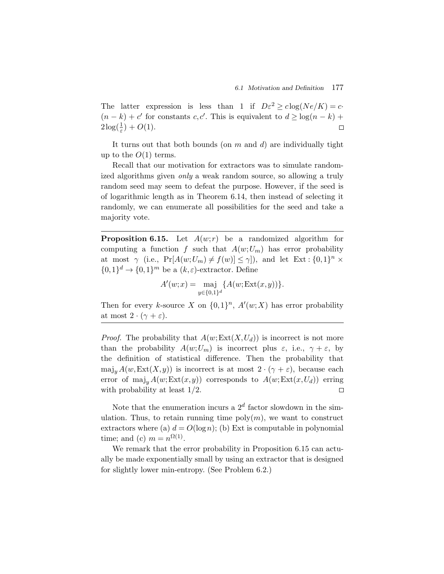The latter expression is less than 1 if  $D\varepsilon^2 \geq c \log(Ne/K) = c$  $(n - k) + c'$  for constants c, c'. This is equivalent to  $d \geq \log(n - k)$  +  $2\log(\frac{1}{\varepsilon})+O(1).$  $\Box$ 

It turns out that both bounds (on  $m$  and  $d$ ) are individually tight up to the  $O(1)$  terms.

Recall that our motivation for extractors was to simulate randomized algorithms given *only* a weak random source, so allowing a truly random seed may seem to defeat the purpose. However, if the seed is of logarithmic length as in Theorem 6.14, then instead of selecting it randomly, we can enumerate all possibilities for the seed and take a majority vote.

**Proposition 6.15.** Let  $A(w; r)$  be a randomized algorithm for computing a function f such that  $A(w;U_m)$  has error probability at most  $\gamma$  (i.e.,  $\Pr[A(w;U_m) \neq f(w)] \leq \gamma$ ), and let  $\operatorname{Ext} : \{0,1\}^n \times$  $\{0,1\}^d \rightarrow \{0,1\}^m$  be a  $(k,\varepsilon)$ -extractor. Define

$$
A'(w;x) = \max_{y \in \{0,1\}^d} \{ A(w; \text{Ext}(x,y)) \}.
$$

Then for every k-source X on  $\{0,1\}^n$ ,  $A'(w;X)$  has error probability at most  $2 \cdot (\gamma + \varepsilon)$ .

*Proof.* The probability that  $A(w; \text{Ext}(X, U_d))$  is incorrect is not more than the probability  $A(w;U_m)$  is incorrect plus  $\varepsilon$ , i.e.,  $\gamma + \varepsilon$ , by the definition of statistical difference. Then the probability that  $maj_y A(w, Ext(X, y))$  is incorrect is at most  $2 \cdot (\gamma + \varepsilon)$ , because each error of  $\text{maj}_y A(w; \text{Ext}(x, y))$  corresponds to  $A(w; \text{Ext}(x, U_d))$  erring with probability at least 1/2.  $\Box$ 

Note that the enumeration incurs a  $2^d$  factor slowdown in the simulation. Thus, to retain running time  $poly(m)$ , we want to construct extractors where (a)  $d = O(\log n)$ ; (b) Ext is computable in polynomial time; and (c)  $m = n^{\Omega(1)}$ .

We remark that the error probability in Proposition 6.15 can actually be made exponentially small by using an extractor that is designed for slightly lower min-entropy. (See Problem 6.2.)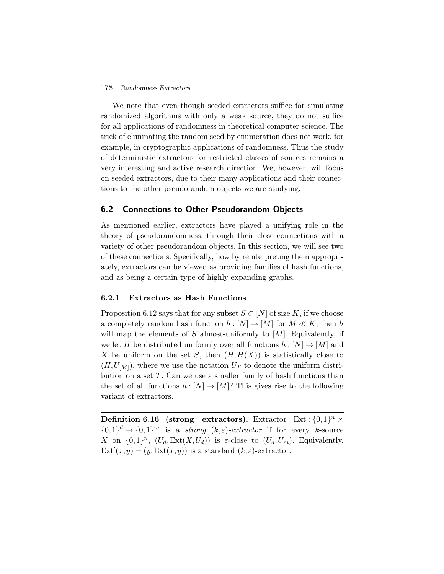We note that even though seeded extractors suffice for simulating randomized algorithms with only a weak source, they do not suffice for all applications of randomness in theoretical computer science. The trick of eliminating the random seed by enumeration does not work, for example, in cryptographic applications of randomness. Thus the study of deterministic extractors for restricted classes of sources remains a very interesting and active research direction. We, however, will focus on seeded extractors, due to their many applications and their connections to the other pseudorandom objects we are studying.

# **6.2 Connections to Other Pseudorandom Objects**

As mentioned earlier, extractors have played a unifying role in the theory of pseudorandomness, through their close connections with a variety of other pseudorandom objects. In this section, we will see two of these connections. Specifically, how by reinterpreting them appropriately, extractors can be viewed as providing families of hash functions, and as being a certain type of highly expanding graphs.

# **6.2.1 Extractors as Hash Functions**

Proposition 6.12 says that for any subset  $S \subset [N]$  of size K, if we choose a completely random hash function  $h : [N] \to [M]$  for  $M \ll K$ , then h will map the elements of S almost-uniformly to  $[M]$ . Equivalently, if we let H be distributed uniformly over all functions  $h : [N] \to [M]$  and X be uniform on the set S, then  $(H,H(X))$  is statistically close to  $(H, U_{M})$ , where we use the notation  $U_T$  to denote the uniform distribution on a set  $T$ . Can we use a smaller family of hash functions than the set of all functions  $h : [N] \to [M]$ ? This gives rise to the following variant of extractors.

**Definition 6.16 (strong extractors).** Extractor Ext:  $\{0,1\}^n$  ×  ${0,1}^d \rightarrow {0,1}^m$  is a *strong*  $(k,\varepsilon)$ -extractor if for every k-source X on  $\{0,1\}^n$ ,  $(U_d, \text{Ext}(X, U_d))$  is  $\varepsilon$ -close to  $(U_d, U_m)$ . Equivalently,  $\text{Ext}'(x,y) = (y, \text{Ext}(x,y))$  is a standard  $(k,\varepsilon)$ -extractor.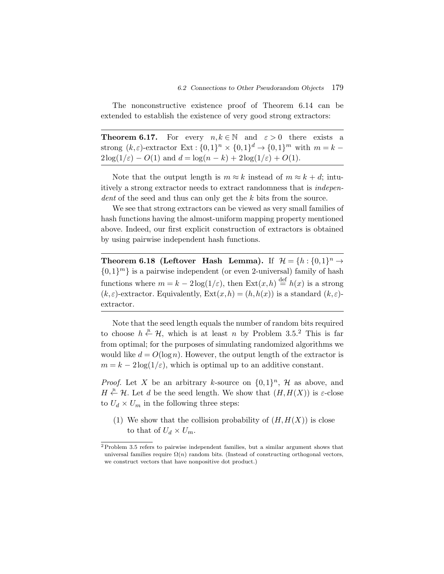The nonconstructive existence proof of Theorem 6.14 can be extended to establish the existence of very good strong extractors:

**Theorem 6.17.** For every  $n, k \in \mathbb{N}$  and  $\varepsilon > 0$  there exists a strong  $(k,\varepsilon)$ -extractor Ext :  $\{0,1\}^n \times \{0,1\}^d \rightarrow \{0,1\}^m$  with  $m = k 2\log(1/\varepsilon) - O(1)$  and  $d = \log(n - k) + 2\log(1/\varepsilon) + O(1)$ .

Note that the output length is  $m \approx k$  instead of  $m \approx k + d$ ; intuitively a strong extractor needs to extract randomness that is *independent* of the seed and thus can only get the k bits from the source.

We see that strong extractors can be viewed as very small families of hash functions having the almost-uniform mapping property mentioned above. Indeed, our first explicit construction of extractors is obtained by using pairwise independent hash functions.

**Theorem 6.18 (Leftover Hash Lemma).** If  $\mathcal{H} = \{h : \{0,1\}^n \to \mathcal{H}\}$  $\{0,1\}^m$  is a pairwise independent (or even 2-universal) family of hash functions where  $m = k - 2\log(1/\varepsilon)$ , then  $\text{Ext}(x, h) \stackrel{\text{def}}{=} h(x)$  is a strong  $(k, \varepsilon)$ -extractor. Equivalently,  $\text{Ext}(x, h) = (h, h(x))$  is a standard  $(k, \varepsilon)$ extractor.

Note that the seed length equals the number of random bits required to choose  $h \stackrel{\text{R}}{\leftarrow} \mathcal{H}$ , which is at least n by Problem 3.5.<sup>2</sup> This is far from optimal; for the purposes of simulating randomized algorithms we would like  $d = O(\log n)$ . However, the output length of the extractor is  $m = k - 2\log(1/\varepsilon)$ , which is optimal up to an additive constant.

*Proof.* Let X be an arbitrary k-source on  $\{0,1\}^n$ , H as above, and  $H \stackrel{\text{R}}{\leftarrow} \mathcal{H}$ . Let d be the seed length. We show that  $(H, H(X))$  is  $\varepsilon$ -close to  $U_d \times U_m$  in the following three steps:

(1) We show that the collision probability of  $(H, H(X))$  is close to that of  $U_d \times U_m$ .

<sup>2</sup> Problem 3.5 refers to pairwise independent families, but a similar argument shows that universal families require  $\Omega(n)$  random bits. (Instead of constructing orthogonal vectors, we construct vectors that have nonpositive dot product.)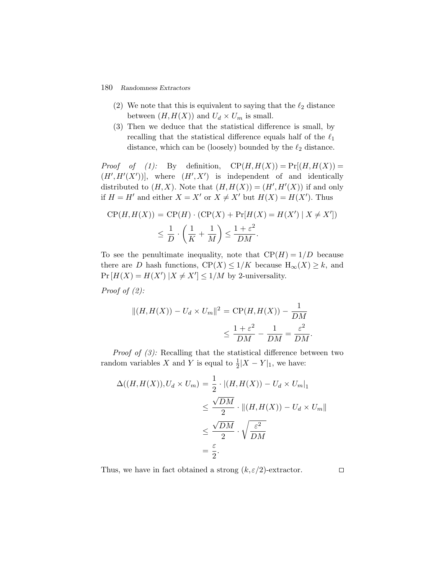- (2) We note that this is equivalent to saying that the  $\ell_2$  distance between  $(H, H(X))$  and  $U_d \times U_m$  is small.
- (3) Then we deduce that the statistical difference is small, by recalling that the statistical difference equals half of the  $\ell_1$ distance, which can be (loosely) bounded by the  $\ell_2$  distance.

*Proof of (1):* By definition,  $CP(H,H(X)) = Pr[(H,H(X))$  $(H', H'(X'))$ , where  $(H', X')$  is independent of and identically distributed to  $(H, X)$ . Note that  $(H, H(X)) = (H', H'(X))$  if and only if  $H = H'$  and either  $X = X'$  or  $X \neq X'$  but  $H(X) = H(X')$ . Thus

$$
CP(H, H(X)) = CP(H) \cdot (CP(X) + Pr[H(X) = H(X') | X \neq X'])
$$
  

$$
\leq \frac{1}{D} \cdot \left(\frac{1}{K} + \frac{1}{M}\right) \leq \frac{1 + \varepsilon^2}{DM}.
$$

To see the penultimate inequality, note that  $\mathbb{CP}(H)=1/D$  because there are D hash functions,  $\mathbb{CP}(X) \leq 1/K$  because  $H_{\infty}(X) \geq k$ , and  $Pr[H(X) = H(X')] | X \neq X' | \leq 1/M$  by 2-universality.

*Proof of (2):*

$$
||(H, H(X)) - U_d \times U_m||^2 = \text{CP}(H, H(X)) - \frac{1}{DM}
$$

$$
\leq \frac{1 + \varepsilon^2}{DM} - \frac{1}{DM} = \frac{\varepsilon^2}{DM}.
$$

*Proof of (3):* Recalling that the statistical difference between two random variables X and Y is equal to  $\frac{1}{2}|X - Y|_1$ , we have:

$$
\Delta((H, H(X)), U_d \times U_m) = \frac{1}{2} \cdot |(H, H(X)) - U_d \times U_m|_1
$$
  

$$
\leq \frac{\sqrt{DM}}{2} \cdot ||(H, H(X)) - U_d \times U_m||
$$
  

$$
\leq \frac{\sqrt{DM}}{2} \cdot \sqrt{\frac{\varepsilon^2}{DM}}
$$
  

$$
= \frac{\varepsilon}{2}.
$$

Thus, we have in fact obtained a strong  $(k, \varepsilon/2)$ -extractor.

 $\Box$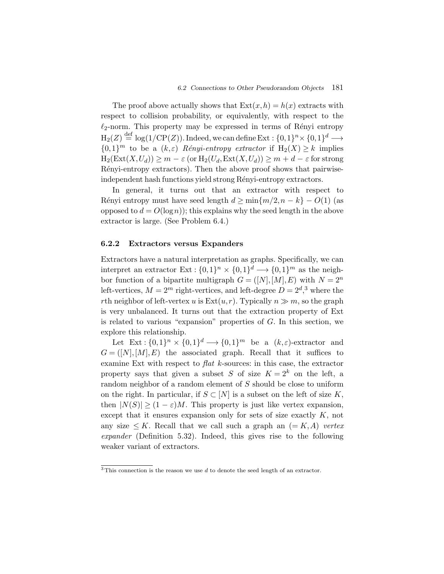The proof above actually shows that  $\text{Ext}(x,h) = h(x)$  extracts with respect to collision probability, or equivalently, with respect to the  $\ell_2$ -norm. This property may be expressed in terms of Rényi entropy  $\operatorname{H}_2(Z) \stackrel{\text{def}}{=} \log(1/\mathrm{CP}(Z)).$  Indeed, we can define Ext :  $\{0,1\}^n \times \{0,1\}^d \longrightarrow$  ${0,1}^m$  to be a  $(k,\varepsilon)$  *Rényi-entropy extractor* if  $H_2(X) \geq k$  implies  $H_2(Ext(X,U_d)) \geq m - \varepsilon$  (or  $H_2(U_d, Ext(X,U_d)) \geq m + d - \varepsilon$  for strong Rényi-entropy extractors). Then the above proof shows that pairwiseindependent hash functions yield strong Rényi-entropy extractors.

In general, it turns out that an extractor with respect to Rényi entropy must have seed length  $d \ge \min\{m/2, n - k\} - O(1)$  (as opposed to  $d = O(\log n)$ ; this explains why the seed length in the above extractor is large. (See Problem 6.4.)

# **6.2.2 Extractors versus Expanders**

Extractors have a natural interpretation as graphs. Specifically, we can interpret an extractor Ext :  $\{0,1\}^n \times \{0,1\}^d \longrightarrow \{0,1\}^m$  as the neighbor function of a bipartite multigraph  $G = ([N], [M], E)$  with  $N = 2<sup>n</sup>$ left-vertices,  $M = 2^m$  right-vertices, and left-degree  $D = 2^d$ , where the rth neighbor of left-vertex u is  $Ext(u,r)$ . Typically  $n \gg m$ , so the graph is very unbalanced. It turns out that the extraction property of Ext is related to various "expansion" properties of G. In this section, we explore this relationship.

Let  $\text{Ext}: \{0,1\}^n \times \{0,1\}^d \longrightarrow \{0,1\}^m$  be a  $(k,\varepsilon)$ -extractor and  $G = ([N], [M], E)$  the associated graph. Recall that it suffices to examine Ext with respect to *flat* k-sources: in this case, the extractor property says that given a subset S of size  $K = 2^k$  on the left, a random neighbor of a random element of S should be close to uniform on the right. In particular, if  $S \subset [N]$  is a subset on the left of size K, then  $|N(S)| \ge (1 - \varepsilon)M$ . This property is just like vertex expansion, except that it ensures expansion only for sets of size exactly K, not any size  $\leq K$ . Recall that we call such a graph an  $(= K, A)$  *vertex expander* (Definition 5.32). Indeed, this gives rise to the following weaker variant of extractors.

 $\overline{3}$ This connection is the reason we use d to denote the seed length of an extractor.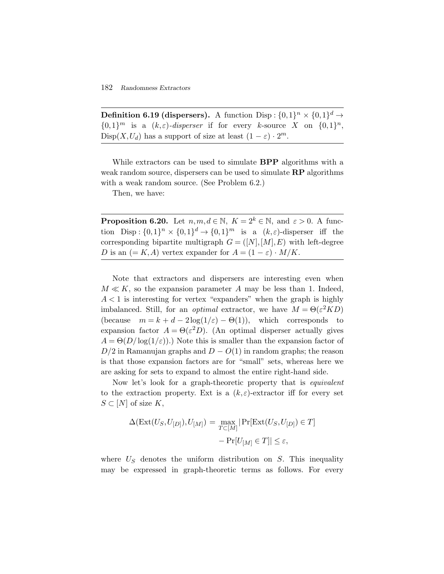**Definition 6.19 (dispersers).** A function Disp :  $\{0,1\}^n \times \{0,1\}^d \rightarrow$  $\{0,1\}^m$  is a  $(k,\varepsilon)$ -disperser if for every k-source X on  $\{0,1\}^n$ ,  $\text{Disp}(X, U_d)$  has a support of size at least  $(1 - \varepsilon) \cdot 2^m$ .

While extractors can be used to simulate **BPP** algorithms with a weak random source, dispersers can be used to simulate **RP** algorithms with a weak random source. (See Problem 6.2.)

Then, we have:

**Proposition 6.20.** Let  $n,m,d \in \mathbb{N}$ ,  $K = 2^k \in \mathbb{N}$ , and  $\varepsilon > 0$ . A function Disp :  $\{0,1\}^n \times \{0,1\}^d \rightarrow \{0,1\}^m$  is a  $(k,\varepsilon)$ -disperser iff the corresponding bipartite multigraph  $G = ([N], [M], E)$  with left-degree D is an  $(= K, A)$  vertex expander for  $A = (1 - \varepsilon) \cdot M/K$ .

Note that extractors and dispersers are interesting even when  $M \ll K$ , so the expansion parameter A may be less than 1. Indeed,  $A < 1$  is interesting for vertex "expanders" when the graph is highly imbalanced. Still, for an *optimal* extractor, we have  $M = \Theta(\varepsilon^2 K D)$ (because  $m = k + d - 2\log(1/\varepsilon) - \Theta(1)$ ), which corresponds to expansion factor  $A = \Theta(\varepsilon^2 D)$ . (An optimal disperser actually gives  $A = \Theta(D/\log(1/\varepsilon))$ .) Note this is smaller than the expansion factor of  $D/2$  in Ramanujan graphs and  $D - O(1)$  in random graphs; the reason is that those expansion factors are for "small" sets, whereas here we are asking for sets to expand to almost the entire right-hand side.

Now let's look for a graph-theoretic property that is *equivalent* to the extraction property. Ext is a  $(k,\varepsilon)$ -extractor iff for every set  $S \subset [N]$  of size K,

$$
\Delta(\text{Ext}(U_S, U_{[D]}), U_{[M]}) = \max_{T \subset [M]} |\Pr[\text{Ext}(U_S, U_{[D]}) \in T] - \Pr[U_{[M]} \in T]| \le \varepsilon,
$$

where  $U<sub>S</sub>$  denotes the uniform distribution on S. This inequality may be expressed in graph-theoretic terms as follows. For every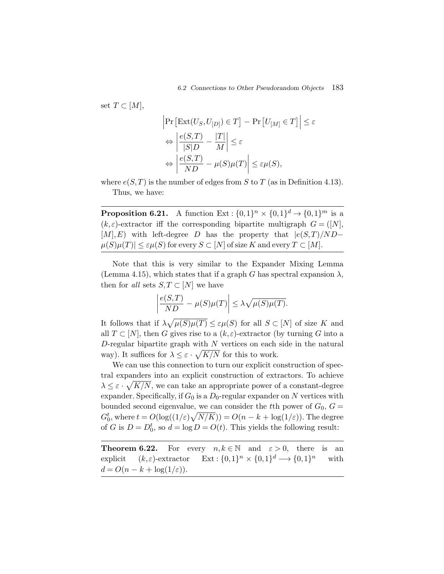set  $T \subset [M],$ 

6.2 Connections to Other Pseudorandom Object  
\n
$$
\left| \Pr \left[ \text{Ext}(U_S, U_{[D]}) \in T \right] - \Pr \left[ U_{[M]} \in T \right] \right| \leq \varepsilon
$$
\n
$$
\Leftrightarrow \left| \frac{e(S, T)}{|S|D} - \frac{|T|}{M} \right| \leq \varepsilon
$$
\n
$$
\Leftrightarrow \left| \frac{e(S, T)}{ND} - \mu(S)\mu(T) \right| \leq \varepsilon \mu(S),
$$

where  $e(S,T)$  is the number of edges from S to T (as in Definition 4.13). Thus, we have:

**Proposition 6.21.** A function Ext :  $\{0,1\}^n \times \{0,1\}^d \rightarrow \{0,1\}^m$  is a  $(k, \varepsilon)$ -extractor iff the corresponding bipartite multigraph  $G = ([N],$  $[M], E$ ) with left-degree D has the property that  $|e(S,T)/ND \mu(S)\mu(T)| \leq \varepsilon\mu(S)$  for every  $S \subset [N]$  of size  $K$  and every  $T \subset [M].$  $\overline{v}$   $\overline{v}$   $\overline{v}$   $\overline{v}$ 

Note that this is very similar to the Expander Mixing Lemma (Lemma 4.15), which states that if a graph G has spectral expansion  $\lambda$ , then for *all* sets  $S, T \subset [N]$  we have

$$
\left|\frac{e(S,T)}{ND} - \mu(S)\mu(T)\right| \le \lambda \sqrt{\mu(S)\mu(T)}.
$$

It follows that if  $\lambda \sqrt{\mu(S)\mu(T)} \leq \varepsilon \mu(S)$  for all  $S \subset [N]$  of size K and all  $T \subset [N]$ , then G gives rise to a  $(k, \varepsilon)$ -extractor (by turning G into a D-regular bipartite graph with  $N$  vertices on each side in the natural way). It suffices for  $\lambda \leq \varepsilon \cdot \sqrt{K/N}$  for this to work.

We can use this connection to turn our explicit construction of spectral expanders into an explicit construction of extractors. To achieve  $\lambda \leq \varepsilon \cdot \sqrt{K/N}$ , we can take an appropriate power of a constant-degree expander. Specifically, if  $G_0$  is a  $D_0$ -regular expander on N vertices with bounded second eigenvalue, we can consider the tth power of  $G_0, G =$  $G_0^t$ , where  $t = O(\log((1/\varepsilon)\sqrt{N/K})) = O(n - k + \log(1/\varepsilon))$ . The degree of G is  $D = D_0^t$ , so  $d = \log D = O(t)$ . This yields the following result:

**Theorem 6.22.** For every  $n, k \in \mathbb{N}$  and  $\varepsilon > 0$ , there is an explicit  $(k,\varepsilon)$ -extractor  $\operatorname{Ext} : \{0,1\}^n \times \{0,1\}^d \longrightarrow \{0,1\}^n$  with  $d = O(n - k + \log(1/\varepsilon)).$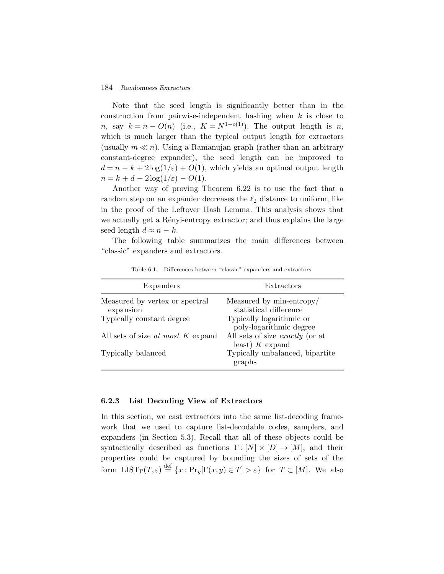Note that the seed length is significantly better than in the construction from pairwise-independent hashing when  $k$  is close to n, say  $k = n - O(n)$  (i.e.,  $K = N^{1-o(1)}$ ). The output length is n, which is much larger than the typical output length for extractors (usually  $m \ll n$ ). Using a Ramanujan graph (rather than an arbitrary constant-degree expander), the seed length can be improved to  $d = n - k + 2\log(1/\varepsilon) + O(1)$ , which yields an optimal output length  $n = k + d - 2\log(1/\varepsilon) - O(1).$ 

Another way of proving Theorem 6.22 is to use the fact that a random step on an expander decreases the  $\ell_2$  distance to uniform, like in the proof of the Leftover Hash Lemma. This analysis shows that we actually get a Rényi-entropy extractor; and thus explains the large seed length  $d \approx n - k$ .

The following table summarizes the main differences between "classic" expanders and extractors.

| Expanders                                   | Extractors                                                  |  |
|---------------------------------------------|-------------------------------------------------------------|--|
| Measured by vertex or spectral<br>expansion | Measured by min-entropy/<br>statistical difference          |  |
| Typically constant degree                   | Typically logarithmic or<br>poly-logarithmic degree         |  |
| All sets of size <i>at most K</i> expand    | All sets of size <i>exactly</i> (or at<br>least) $K$ expand |  |
| Typically balanced                          | Typically unbalanced, bipartite<br>graphs                   |  |

Table 6.1. Differences between "classic" expanders and extractors.

#### **6.2.3 List Decoding View of Extractors**

In this section, we cast extractors into the same list-decoding framework that we used to capture list-decodable codes, samplers, and expanders (in Section 5.3). Recall that all of these objects could be syntactically described as functions  $\Gamma : [N] \times [D] \rightarrow [M]$ , and their properties could be captured by bounding the sizes of sets of the form  $LIST_\Gamma(T, \varepsilon) \stackrel{\text{def}}{=} \{x : \text{Pr}_y[\Gamma(x, y) \in T] > \varepsilon\}$  for  $T \subset [M]$ . We also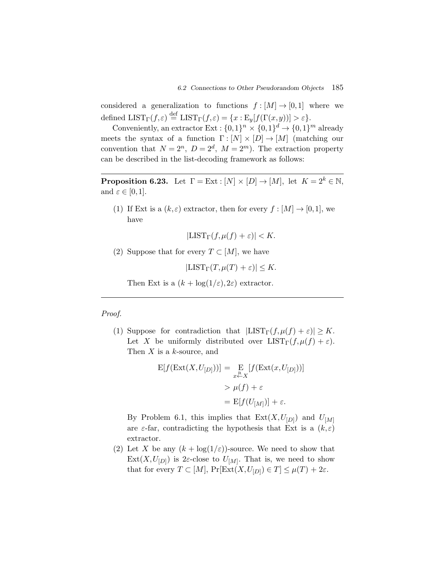considered a generalization to functions  $f : [M] \to [0,1]$  where we defined  $\text{LIST}_{\Gamma}(f, \varepsilon) \stackrel{\text{def}}{=} \text{LIST}_{\Gamma}(f, \varepsilon) = \{x : \text{E}_y[f(\Gamma(x, y))] > \varepsilon\}.$ 

Conveniently, an extractor Ext :  $\{0,1\}^n \times \{0,1\}^d \rightarrow \{0,1\}^m$  already meets the syntax of a function  $\Gamma : [N] \times [D] \to [M]$  (matching our convention that  $N = 2^n$ ,  $D = 2^d$ ,  $M = 2^m$ ). The extraction property can be described in the list-decoding framework as follows:

**Proposition 6.23.** Let  $\Gamma = \text{Ext}: [N] \times [D] \to [M]$ , let  $K = 2^k \in \mathbb{N}$ , and  $\varepsilon \in [0,1]$ .

(1) If Ext is a  $(k, \varepsilon)$  extractor, then for every  $f : [M] \to [0, 1]$ , we have

$$
|\text{LIST}_{\Gamma}(f, \mu(f) + \varepsilon)| < K.
$$

(2) Suppose that for every  $T \subset [M]$ , we have

 $|LIST_\Gamma(T,\mu(T)+\varepsilon)| \leq K.$ 

Then Ext is a  $(k + \log(1/\varepsilon), 2\varepsilon)$  extractor.

#### *Proof.*

(1) Suppose for contradiction that  $|LIST_\Gamma(f, \mu(f) + \varepsilon)| \geq K$ . Let X be uniformly distributed over  $LIST_\Gamma(f, \mu(f) + \varepsilon)$ . Then  $X$  is a  $k$ -source, and

$$
E[f(\text{Ext}(X, U_{[D]}))] = \underset{x \stackrel{R}{\leftarrow} X}{\text{E}} [f(\text{Ext}(x, U_{[D]}))]
$$

$$
> \mu(f) + \varepsilon
$$

$$
= E[f(U_{[M]})] + \varepsilon.
$$

By Problem 6.1, this implies that  $Ext(X, U_{[D]})$  and  $U_{[M]}$ are  $\varepsilon$ -far, contradicting the hypothesis that Ext is a  $(k,\varepsilon)$ extractor.

(2) Let X be any  $(k + \log(1/\varepsilon))$ -source. We need to show that  $Ext(X, U_{[D]})$  is 2 $\varepsilon$ -close to  $U_{[M]}$ . That is, we need to show that for every  $T \subset [M]$ ,  $\Pr[\text{Ext}(X, U_{D}) \in T] \leq \mu(T) + 2\varepsilon$ .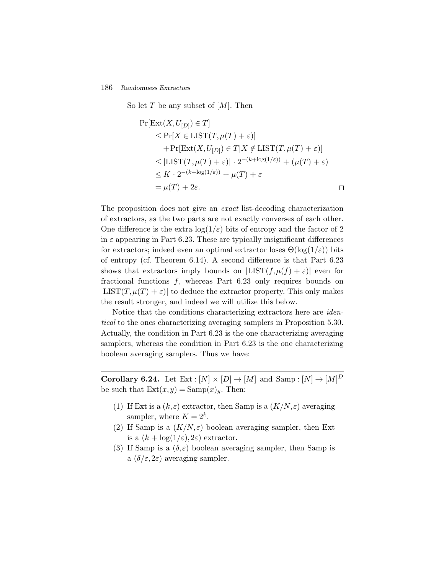So let  $T$  be any subset of  $[M]$ . Then

$$
\Pr[\text{Ext}(X, U_{[D]}) \in T] \n\leq \Pr[X \in \text{LIST}(T, \mu(T) + \varepsilon)] \n+ \Pr[\text{Ext}(X, U_{[D]}) \in T | X \notin \text{LIST}(T, \mu(T) + \varepsilon)] \n\leq |\text{LIST}(T, \mu(T) + \varepsilon)| \cdot 2^{-(k + \log(1/\varepsilon))} + (\mu(T) + \varepsilon) \n\leq K \cdot 2^{-(k + \log(1/\varepsilon))} + \mu(T) + \varepsilon \n= \mu(T) + 2\varepsilon.
$$

The proposition does not give an *exact* list-decoding characterization of extractors, as the two parts are not exactly converses of each other. One difference is the extra  $log(1/\varepsilon)$  bits of entropy and the factor of 2 in  $\varepsilon$  appearing in Part 6.23. These are typically insignificant differences for extractors; indeed even an optimal extractor loses  $\Theta(\log(1/\varepsilon))$  bits of entropy (cf. Theorem 6.14). A second difference is that Part 6.23 shows that extractors imply bounds on  $|LIST(f, \mu(f) + \varepsilon)|$  even for fractional functions  $f$ , whereas Part 6.23 only requires bounds on  $|LIST(T, \mu(T) + \varepsilon)|$  to deduce the extractor property. This only makes the result stronger, and indeed we will utilize this below.

Notice that the conditions characterizing extractors here are *identical* to the ones characterizing averaging samplers in Proposition 5.30. Actually, the condition in Part 6.23 is the one characterizing averaging samplers, whereas the condition in Part 6.23 is the one characterizing boolean averaging samplers. Thus we have:

**Corollary 6.24.** Let  $Ext : [N] \times [D] \rightarrow [M]$  and  $Samp : [N] \rightarrow [M]$ <sup>D</sup> be such that  $\text{Ext}(x,y) = \text{Samp}(x)_y$ . Then:

- (1) If Ext is a  $(k, \varepsilon)$  extractor, then Samp is a  $(K/N, \varepsilon)$  averaging sampler, where  $K = 2^k$ .
- (2) If Samp is a  $(K/N, \varepsilon)$  boolean averaging sampler, then Ext is a  $(k + \log(1/\varepsilon), 2\varepsilon)$  extractor.
- (3) If Samp is a  $(\delta, \varepsilon)$  boolean averaging sampler, then Samp is a  $(\delta/\varepsilon, 2\varepsilon)$  averaging sampler.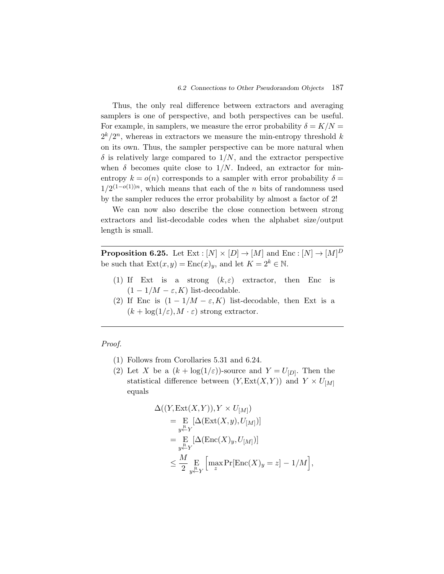Thus, the only real difference between extractors and averaging samplers is one of perspective, and both perspectives can be useful. For example, in samplers, we measure the error probability  $\delta = K/N =$  $2^{k}/2^{n}$ , whereas in extractors we measure the min-entropy threshold k on its own. Thus, the sampler perspective can be more natural when  $\delta$  is relatively large compared to  $1/N$ , and the extractor perspective when  $\delta$  becomes quite close to  $1/N$ . Indeed, an extractor for minentropy  $k = o(n)$  corresponds to a sampler with error probability  $\delta =$  $1/2^{(1-o(1))n}$ , which means that each of the *n* bits of randomness used by the sampler reduces the error probability by almost a factor of 2!

We can now also describe the close connection between strong extractors and list-decodable codes when the alphabet size/output length is small.

**Proposition 6.25.** Let  $Ext : [N] \times [D] \rightarrow [M]$  and  $Enc : [N] \rightarrow [M]$ <sup>D</sup> be such that  $\text{Ext}(x,y) = \text{Enc}(x)_y$ , and let  $K = 2^k \in \mathbb{N}$ .

- (1) If Ext is a strong  $(k,\varepsilon)$  extractor, then Enc is  $(1 - 1/M - \varepsilon, K)$  list-decodable.
- (2) If Enc is  $(1 1/M \varepsilon, K)$  list-decodable, then Ext is a  $(k + \log(1/\varepsilon), M \cdot \varepsilon)$  strong extractor.

# *Proof.*

- (1) Follows from Corollaries 5.31 and 6.24.
- (2) Let X be a  $(k + \log(1/\varepsilon))$ -source and  $Y = U_{[D]}$ . Then the statistical difference between  $(Y, \text{Ext}(X, Y))$  and  $Y \times U_{M}$ equals

$$
\Delta((Y, \text{Ext}(X, Y)), Y \times U_{[M]})
$$
\n
$$
= \mathop{\mathbb{E}}_{y \stackrel{R}{\leftarrow} Y} [\Delta(\text{Ext}(X, y), U_{[M]})]
$$
\n
$$
= \mathop{\mathbb{E}}_{y \stackrel{R}{\leftarrow} Y} [\Delta(\text{Enc}(X)_y, U_{[M]})]
$$
\n
$$
\leq \frac{M}{2} \mathop{\mathbb{E}}_{y \stackrel{R}{\leftarrow} Y} [\max \Pr[\text{Enc}(X)_y = z] - 1/M],
$$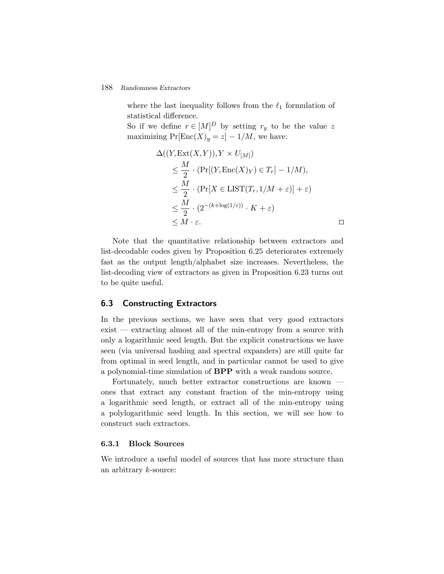where the last inequality follows from the  $\ell_1$  formulation of statistical difference.

So if we define  $r \in [M]^D$  by setting  $r_y$  to be the value z maximizing  $Pr[Enc(X)_y = z] - 1/M$ , we have:

$$
\Delta((Y, \text{Ext}(X, Y)), Y \times U_{[M]})
$$
\n
$$
\leq \frac{M}{2} \cdot (\Pr[(Y, \text{Enc}(X)_Y) \in T_r] - 1/M),
$$
\n
$$
\leq \frac{M}{2} \cdot (\Pr[X \in \text{LIST}(T_r, 1/M + \varepsilon)] + \varepsilon)
$$
\n
$$
\leq \frac{M}{2} \cdot (2^{-(k + \log(1/\varepsilon))} \cdot K + \varepsilon)
$$
\n
$$
\leq M \cdot \varepsilon.
$$

Note that the quantitative relationship between extractors and list-decodable codes given by Proposition 6.25 deteriorates extremely fast as the output length/alphabet size increases. Nevertheless, the list-decoding view of extractors as given in Proposition 6.23 turns out to be quite useful.

# **6.3 Constructing Extractors**

In the previous sections, we have seen that very good extractors exist — extracting almost all of the min-entropy from a source with only a logarithmic seed length. But the explicit constructions we have seen (via universal hashing and spectral expanders) are still quite far from optimal in seed length, and in particular cannot be used to give a polynomial-time simulation of **BPP** with a weak random source.

Fortunately, much better extractor constructions are known ones that extract any constant fraction of the min-entropy using a logarithmic seed length, or extract all of the min-entropy using a polylogarithmic seed length. In this section, we will see how to construct such extractors.

#### **6.3.1 Block Sources**

We introduce a useful model of sources that has more structure than an arbitrary k-source: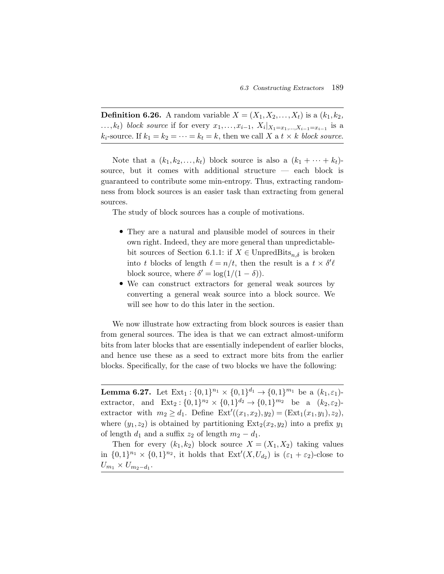**Definition 6.26.** A random variable  $X = (X_1, X_2, ..., X_t)$  is a  $(k_1, k_2, ...)$ ...,k<sub>t</sub>) *block source* if for every  $x_1, ..., x_{i-1}$ ,  $X_i|_{X_1=x_1,...,X_{i-1}=x_{i-1}}$  is a  $k_i$ -source. If  $k_1 = k_2 = \cdots = k_t = k$ , then we call X a  $t \times k$  *block source*.

Note that a  $(k_1, k_2, \ldots, k_t)$  block source is also a  $(k_1 + \cdots + k_t)$ source, but it comes with additional structure — each block is guaranteed to contribute some min-entropy. Thus, extracting randomness from block sources is an easier task than extracting from general sources.

The study of block sources has a couple of motivations.

- They are a natural and plausible model of sources in their own right. Indeed, they are more general than unpredictablebit sources of Section 6.1.1: if  $X \in \text{UnpredBits}_{n,\delta}$  is broken into t blocks of length  $\ell = n/t$ , then the result is a  $t \times \delta' \ell$ block source, where  $\delta' = \log(1/(1-\delta)).$
- We can construct extractors for general weak sources by converting a general weak source into a block source. We will see how to do this later in the section.

We now illustrate how extracting from block sources is easier than from general sources. The idea is that we can extract almost-uniform bits from later blocks that are essentially independent of earlier blocks, and hence use these as a seed to extract more bits from the earlier blocks. Specifically, for the case of two blocks we have the following:

**Lemma 6.27.** Let  $Ext_1: \{0,1\}^{n_1} \times \{0,1\}^{d_1} \rightarrow \{0,1\}^{m_1}$  be a  $(k_1,\varepsilon_1)$ extractor, and  $\text{Ext}_2: \{0,1\}^{n_2} \times \{0,1\}^{d_2} \to \{0,1\}^{m_2}$  be a  $(k_2,\varepsilon_2)$ extractor with  $m_2 \ge d_1$ . Define  $\text{Ext}'((x_1, x_2), y_2) = (\text{Ext}_1(x_1, y_1), z_2),$ where  $(y_1, z_2)$  is obtained by partitioning  $\text{Ext}_2(x_2, y_2)$  into a prefix  $y_1$ of length  $d_1$  and a suffix  $z_2$  of length  $m_2 - d_1$ .

Then for every  $(k_1, k_2)$  block source  $X = (X_1, X_2)$  taking values in  $\{0,1\}^{n_1} \times \{0,1\}^{n_2}$ , it holds that  $\text{Ext}'(X, U_{d_2})$  is  $(\varepsilon_1 + \varepsilon_2)$ -close to  $U_{m_1}\times U_{\underline{m_2-d_1}}.$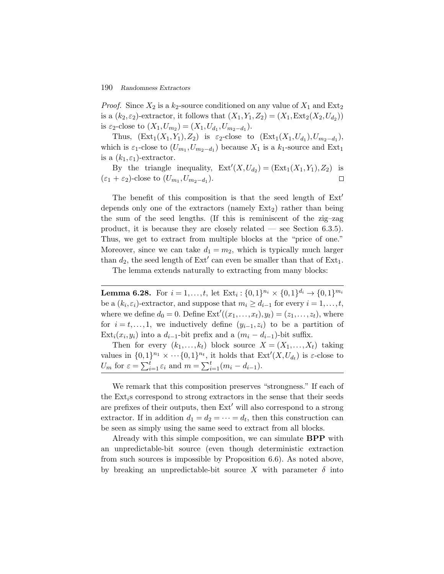*Proof.* Since  $X_2$  is a  $k_2$ -source conditioned on any value of  $X_1$  and  $Ext_2$ is a  $(k_2, \varepsilon_2)$ -extractor, it follows that  $(X_1, Y_1, Z_2)=(X_1, \text{Ext}_2(X_2, U_{d_2}))$ is  $\varepsilon_2$ -close to  $(X_1, U_{m_2})=(X_1, U_{d_1}, U_{m_2-d_1}).$ 

Thus,  $(\text{Ext}_1(X_1,Y_1),Z_2)$  is  $\varepsilon_2$ -close to  $(\text{Ext}_1(X_1,U_{d_1}),U_{m_2-d_1}),$ which is  $\varepsilon_1$ -close to  $(U_{m_1}, U_{m_2-d_1})$  because  $X_1$  is a  $k_1$ -source and Ext<sub>1</sub> is a  $(k_1, \varepsilon_1)$ -extractor.

By the triangle inequality,  $Ext'(X, U_{d_2}) = (Ext_1(X_1, Y_1), Z_2)$  is  $(\varepsilon_1 + \varepsilon_2)$ -close to  $(U_{m_1}, U_{m_2-d_1})$ .  $\Box$ 

The benefit of this composition is that the seed length of  $Ext'$ depends only one of the extractors (namely  $Ext_2$ ) rather than being the sum of the seed lengths. (If this is reminiscent of the zig–zag product, it is because they are closely related — see Section 6.3.5). Thus, we get to extract from multiple blocks at the "price of one." Moreover, since we can take  $d_1 = m_2$ , which is typically much larger than  $d_2$ , the seed length of Ext' can even be smaller than that of Ext<sub>1</sub>.

The lemma extends naturally to extracting from many blocks:

**Lemma 6.28.** For  $i = 1, ..., t$ , let  $\text{Ext}_i : \{0,1\}^{n_i} \times \{0,1\}^{d_i} \rightarrow \{0,1\}^{m_i}$ be a  $(k_i, \varepsilon_i)$ -extractor, and suppose that  $m_i \geq d_{i-1}$  for every  $i = 1, \ldots, t$ , where we define  $d_0 = 0$ . Define  $\text{Ext}'((x_1,\ldots,x_t),y_t) = (z_1,\ldots,z_t)$ , where for  $i = t, \ldots, 1$ , we inductively define  $(y_{i-1}, z_i)$  to be a partition of Ext<sub>i</sub> $(x_i, y_i)$  into a  $d_{i-1}$ -bit prefix and a  $(m_i - d_{i-1})$ -bit suffix.

Then for every  $(k_1,...,k_t)$  block source  $X = (X_1,...,X_t)$  taking values in  $\{0,1\}^{n_1} \times \cdots \{0,1\}^{n_t}$ , it holds that  $\text{Ext}'(X, U_{d_t})$  is  $\varepsilon$ -close to for  $i = t, ..., 1$ , we inductively define  $(y_{i-1}, z_i)$ <br>
Ext<sub>i</sub> $(x_i, y_i)$  into a  $d_{i-1}$ -bit prefix and a  $(m_i - c$ <br>
Then for every  $(k_1, ..., k_t)$  block source  $\lambda$ <br>
values in  $\{0,1\}^{n_1} \times \cdots \{0,1\}^{n_t}$ , it holds that E<br>  $U_m$  for  $\v$ 

We remark that this composition preserves "strongness." If each of the  $Ext_i$ s correspond to strong extractors in the sense that their seeds are prefixes of their outputs, then  $Ext'$  will also correspond to a strong extractor. If in addition  $d_1 = d_2 = \cdots = d_t$ , then this construction can be seen as simply using the same seed to extract from all blocks.

Already with this simple composition, we can simulate **BPP** with an unpredictable-bit source (even though deterministic extraction from such sources is impossible by Proposition 6.6). As noted above, by breaking an unpredictable-bit source X with parameter  $\delta$  into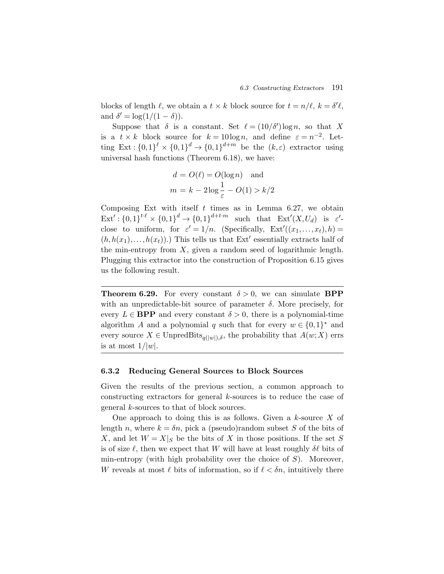blocks of length  $\ell$ , we obtain a  $t \times k$  block source for  $t = n/\ell$ ,  $k = \delta'\ell$ , and  $\delta' = \log(1/(1-\delta)).$ 

Suppose that  $\delta$  is a constant. Set  $\ell = (10/\delta') \log n$ , so that X is a  $t \times k$  block source for  $k = 10 \log n$ , and define  $\varepsilon = n^{-2}$ . Letting Ext :  $\{0,1\}^{\ell} \times \{0,1\}^d \to \{0,1\}^{d+m}$  be the  $(k,\varepsilon)$  extractor using universal hash functions (Theorem 6.18), we have:

$$
d = O(\ell) = O(\log n)
$$
 and  

$$
m = k - 2\log \frac{1}{\varepsilon} - O(1) > k/2
$$

Composing Ext with itself  $t$  times as in Lemma 6.27, we obtain  $\mathrm{Ext}' : \{0,1\}^{t \cdot \ell} \times \{0,1\}^{d} \to \{0,1\}^{d+t \cdot m}$  such that  $\mathrm{Ext}'(X, U_d)$  is  $\varepsilon'$ close to uniform, for  $\varepsilon' = 1/n$ . (Specifically,  $\text{Ext}'((x_1,...,x_t), h) =$  $(h, h(x_1),...,h(x_t))$ .) This tells us that Ext' essentially extracts half of the min-entropy from  $X$ , given a random seed of logarithmic length. Plugging this extractor into the construction of Proposition 6.15 gives us the following result.

**Theorem 6.29.** For every constant  $\delta > 0$ , we can simulate **BPP** with an unpredictable-bit source of parameter  $\delta$ . More precisely, for every  $L \in \mathbf{BPP}$  and every constant  $\delta > 0$ , there is a polynomial-time algorithm A and a polynomial q such that for every  $w \in \{0,1\}^*$  and every source  $X \in \text{UnpredBits}_{q(|w|),\delta}$ , the probability that  $A(w;X)$  errs is at most  $1/|w|$ .

#### **6.3.2 Reducing General Sources to Block Sources**

Given the results of the previous section, a common approach to constructing extractors for general k-sources is to reduce the case of general k-sources to that of block sources.

One approach to doing this is as follows. Given a  $k$ -source  $X$  of length n, where  $k = \delta n$ , pick a (pseudo)random subset S of the bits of X, and let  $W = X|_S$  be the bits of X in those positions. If the set S is of size  $\ell$ , then we expect that W will have at least roughly  $\delta\ell$  bits of min-entropy (with high probability over the choice of  $S$ ). Moreover, W reveals at most  $\ell$  bits of information, so if  $\ell < \delta n$ , intuitively there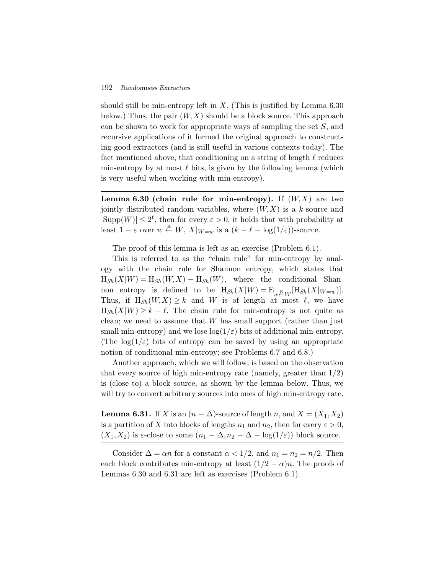should still be min-entropy left in  $X$ . (This is justified by Lemma 6.30) below.) Thus, the pair  $(W, X)$  should be a block source. This approach can be shown to work for appropriate ways of sampling the set S, and recursive applications of it formed the original approach to constructing good extractors (and is still useful in various contexts today). The fact mentioned above, that conditioning on a string of length  $\ell$  reduces min-entropy by at most  $\ell$  bits, is given by the following lemma (which is very useful when working with min-entropy).

**Lemma 6.30 (chain rule for min-entropy).** If  $(W, X)$  are two jointly distributed random variables, where  $(W, X)$  is a k-source and  $|\text{Supp}(W)| \leq 2^{\ell}$ , then for every  $\varepsilon > 0$ , it holds that with probability at least  $1 - \varepsilon$  over  $w \stackrel{\text{R}}{\leftarrow} W$ ,  $X|_{W=w}$  is a  $(k - \ell - \log(1/\varepsilon))$ -source.

The proof of this lemma is left as an exercise (Problem 6.1).

This is referred to as the "chain rule" for min-entropy by analogy with the chain rule for Shannon entropy, which states that  $H_{Sh}(X|W) = H_{Sh}(W,X) - H_{Sh}(W)$ , where the conditional Shannon entropy is defined to be  $H_{Sh}(X|W) = E_{w \stackrel{R}{\leftarrow} W} [H_{Sh}(X|W_{=w})].$ Thus, if  $H_{Sh}(W,X) \geq k$  and W is of length at most  $\ell$ , we have  $H_{\text{Sh}}(X|W) \geq k - \ell$ . The chain rule for min-entropy is not quite as clean; we need to assume that  $W$  has small support (rather than just small min-entropy) and we lose  $log(1/\varepsilon)$  bits of additional min-entropy. (The  $\log(1/\varepsilon)$  bits of entropy can be saved by using an appropriate notion of conditional min-entropy; see Problems 6.7 and 6.8.)

Another approach, which we will follow, is based on the observation that every source of high min-entropy rate (namely, greater than  $1/2$ ) is (close to) a block source, as shown by the lemma below. Thus, we will try to convert arbitrary sources into ones of high min-entropy rate.

**Lemma 6.31.** If X is an  $(n - \Delta)$ -source of length n, and  $X = (X_1, X_2)$ is a partition of X into blocks of lengths  $n_1$  and  $n_2$ , then for every  $\varepsilon > 0$ ,  $(X_1, X_2)$  is  $\varepsilon$ -close to some  $(n_1 - \Delta, n_2 - \Delta - \log(1/\varepsilon))$  block source.

Consider  $\Delta = \alpha n$  for a constant  $\alpha < 1/2$ , and  $n_1 = n_2 = n/2$ . Then each block contributes min-entropy at least  $(1/2 - \alpha)n$ . The proofs of Lemmas 6.30 and 6.31 are left as exercises (Problem 6.1).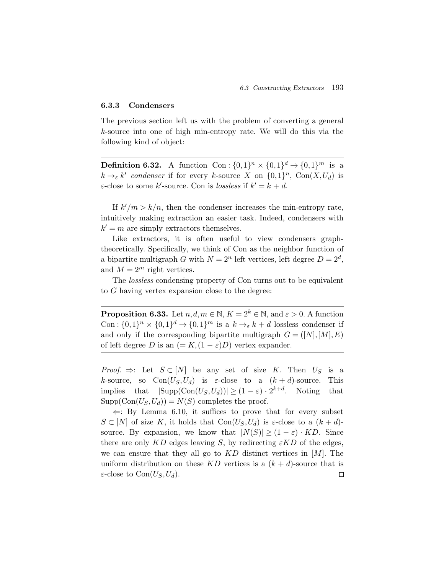# **6.3.3 Condensers**

The previous section left us with the problem of converting a general k-source into one of high min-entropy rate. We will do this via the following kind of object:

**Definition 6.32.** A function Con :  $\{0,1\}^n \times \{0,1\}^d \rightarrow \{0,1\}^m$  is a  $k \rightarrow_{\varepsilon} k'$  *condenser* if for every k-source X on  $\{0,1\}^n$ , Con $(X, U_d)$  is  $\varepsilon$ -close to some k'-source. Con is *lossless* if  $k' = k + d$ .

If  $k'/m > k/n$ , then the condenser increases the min-entropy rate, intuitively making extraction an easier task. Indeed, condensers with  $k' = m$  are simply extractors themselves.

Like extractors, it is often useful to view condensers graphtheoretically. Specifically, we think of Con as the neighbor function of a bipartite multigraph G with  $N = 2^n$  left vertices, left degree  $D = 2^d$ , and  $M = 2^m$  right vertices.

The *lossless* condensing property of Con turns out to be equivalent to G having vertex expansion close to the degree:

**Proposition 6.33.** Let  $n, d, m \in \mathbb{N}$ ,  $K = 2^k \in \mathbb{N}$ , and  $\varepsilon > 0$ . A function Con :  $\{0,1\}^n \times \{0,1\}^d \rightarrow \{0,1\}^m$  is a  $k \rightarrow_{\varepsilon} k + d$  lossless condenser if and only if the corresponding bipartite multigraph  $G = ([N], [M], E)$ of left degree D is an  $(= K,(1-\varepsilon)D)$  vertex expander.

*Proof.*  $\Rightarrow$ : Let  $S \subset [N]$  be any set of size K. Then  $U_S$  is a k-source, so  $Con(U_S, U_d)$  is  $\varepsilon$ -close to a  $(k+d)$ -source. This implies that  $|\text{Supp}(\text{Con}(U_S, U_d))| \geq (1 - \varepsilon) \cdot 2^{k+d}$ . Noting that  $Supp(Con(U_S, U_d)) = N(S)$  completes the proof.

 $\Leftarrow$ : By Lemma 6.10, it suffices to prove that for every subset  $S \subset [N]$  of size K, it holds that  $Con(U_S, U_d)$  is  $\varepsilon$ -close to a  $(k+d)$ source. By expansion, we know that  $|N(S)| \geq (1 - \varepsilon) \cdot KD$ . Since there are only KD edges leaving S, by redirecting  $\epsilon$ KD of the edges, we can ensure that they all go to  $KD$  distinct vertices in  $[M]$ . The uniform distribution on these KD vertices is a  $(k + d)$ -source that is  $\varepsilon$ -close to Con $(U_S, U_d)$ .  $\Box$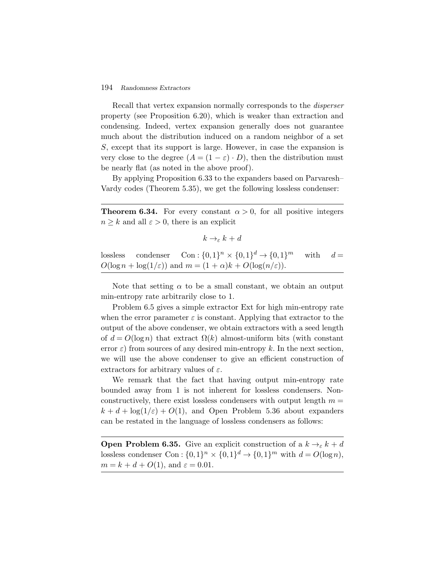Recall that vertex expansion normally corresponds to the *disperser* property (see Proposition 6.20), which is weaker than extraction and condensing. Indeed, vertex expansion generally does not guarantee much about the distribution induced on a random neighbor of a set S, except that its support is large. However, in case the expansion is very close to the degree  $(A = (1 - \varepsilon) \cdot D)$ , then the distribution must be nearly flat (as noted in the above proof).

By applying Proposition 6.33 to the expanders based on Parvaresh– Vardy codes (Theorem 5.35), we get the following lossless condenser:

**Theorem 6.34.** For every constant  $\alpha > 0$ , for all positive integers  $n \geq k$  and all  $\varepsilon > 0$ , there is an explicit

```
k \rightarrow_{\varepsilon} k + d
```
lossless condenser  $Con: \{0,1\}^n \times \{0,1\}^d \rightarrow \{0,1\}^m$  with  $d =$  $O(\log n + \log(1/\varepsilon))$  and  $m = (1 + \alpha)k + O(\log(n/\varepsilon)).$ 

Note that setting  $\alpha$  to be a small constant, we obtain an output min-entropy rate arbitrarily close to 1.

Problem 6.5 gives a simple extractor Ext for high min-entropy rate when the error parameter  $\varepsilon$  is constant. Applying that extractor to the output of the above condenser, we obtain extractors with a seed length of  $d = O(\log n)$  that extract  $\Omega(k)$  almost-uniform bits (with constant error  $\varepsilon$ ) from sources of any desired min-entropy k. In the next section, we will use the above condenser to give an efficient construction of extractors for arbitrary values of  $\varepsilon$ .

We remark that the fact that having output min-entropy rate bounded away from 1 is not inherent for lossless condensers. Nonconstructively, there exist lossless condensers with output length  $m =$  $k + d + \log(1/\varepsilon) + O(1)$ , and Open Problem 5.36 about expanders can be restated in the language of lossless condensers as follows:

**Open Problem 6.35.** Give an explicit construction of a  $k \rightarrow_{\varepsilon} k + d$ lossless condenser Con :  $\{0,1\}^n \times \{0,1\}^d \rightarrow \{0,1\}^m$  with  $d = O(\log n)$ ,  $m = k + d + O(1)$ , and  $\varepsilon = 0.01$ .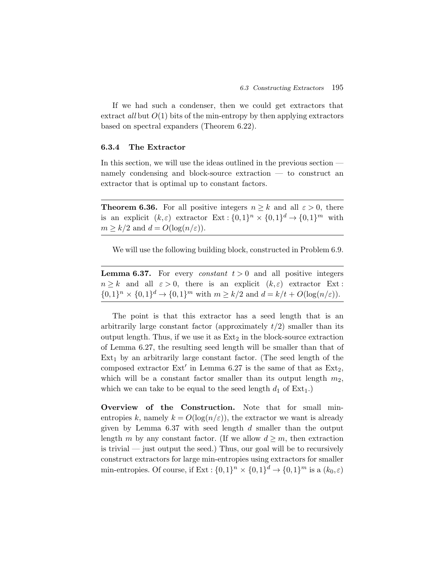If we had such a condenser, then we could get extractors that extract *all* but  $O(1)$  bits of the min-entropy by then applying extractors based on spectral expanders (Theorem 6.22).

# **6.3.4 The Extractor**

In this section, we will use the ideas outlined in the previous section namely condensing and block-source extraction — to construct an extractor that is optimal up to constant factors.

**Theorem 6.36.** For all positive integers  $n \geq k$  and all  $\varepsilon > 0$ , there is an explicit  $(k,\varepsilon)$  extractor  $\text{Ext} : \{0,1\}^n \times \{0,1\}^d \to \{0,1\}^m$  with  $m \geq k/2$  and  $d = O(\log(n/\varepsilon)).$ 

We will use the following building block, constructed in Problem 6.9.

**Lemma 6.37.** For every *constant*  $t > 0$  and all positive integers  $n \geq k$  and all  $\varepsilon > 0$ , there is an explicit  $(k, \varepsilon)$  extractor Ext:  $\{0,1\}^n \times \{0,1\}^d \to \{0,1\}^m$  with  $m \ge k/2$  and  $d = k/t + O(\log(n/\varepsilon)).$ 

The point is that this extractor has a seed length that is an arbitrarily large constant factor (approximately  $t/2$ ) smaller than its output length. Thus, if we use it as  $Ext_2$  in the block-source extraction of Lemma 6.27, the resulting seed length will be smaller than that of  $Ext_1$  by an arbitrarily large constant factor. (The seed length of the composed extractor  $Ext'$  in Lemma 6.27 is the same of that as  $Ext_2$ , which will be a constant factor smaller than its output length  $m_2$ , which we can take to be equal to the seed length  $d_1$  of  $Ext_1$ .)

**Overview of the Construction.** Note that for small minentropies k, namely  $k = O(\log(n/\varepsilon))$ , the extractor we want is already given by Lemma  $6.37$  with seed length d smaller than the output length m by any constant factor. (If we allow  $d \geq m$ , then extraction is trivial — just output the seed.) Thus, our goal will be to recursively construct extractors for large min-entropies using extractors for smaller min-entropies. Of course, if Ext :  $\{0,1\}^n \times \{0,1\}^d \rightarrow \{0,1\}^m$  is a  $(k_0,\varepsilon)$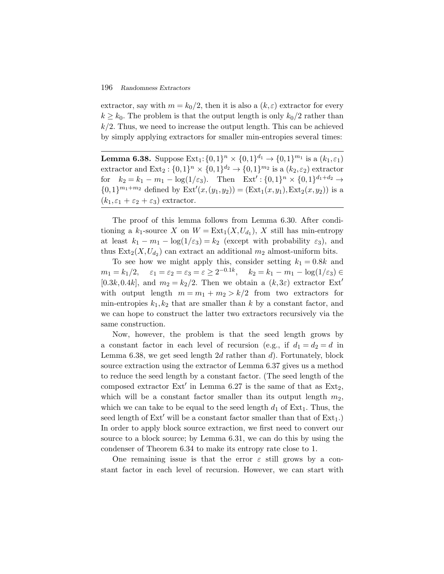extractor, say with  $m = k_0/2$ , then it is also a  $(k, \varepsilon)$  extractor for every  $k \geq k_0$ . The problem is that the output length is only  $k_0/2$  rather than  $k/2$ . Thus, we need to increase the output length. This can be achieved by simply applying extractors for smaller min-entropies several times:

**Lemma 6.38.** Suppose  $Ext_1$ :  $\{0,1\}^n \times \{0,1\}^{d_1} \rightarrow \{0,1\}^{m_1}$  is a  $(k_1,\varepsilon_1)$ extractor and  $\text{Ext}_2: \{0,1\}^n \times \{0,1\}^{d_2} \to \{0,1\}^{m_2}$  is a  $(k_2,\varepsilon_2)$  extractor for  $k_2 = k_1 - m_1 - \log(1/\varepsilon_3)$ . Then  $\text{Ext}' : \{0,1\}^n \times \{0,1\}^{d_1 + d_2} \rightarrow$  ${0,1}^{m_1+m_2}$  defined by  $\text{Ext}'(x,(y_1,y_2)) = (\text{Ext}_1(x,y_1),\text{Ext}_2(x,y_2))$  is a  $(k_1, \varepsilon_1 + \varepsilon_2 + \varepsilon_3)$  extractor.

The proof of this lemma follows from Lemma 6.30. After conditioning a  $k_1$ -source X on  $W = \text{Ext}_1(X, U_{d_1}), X$  still has min-entropy at least  $k_1 - m_1 - \log(1/\varepsilon_3) = k_2$  (except with probability  $\varepsilon_3$ ), and thus  $Ext_2(X, U_{d_2})$  can extract an additional  $m_2$  almost-uniform bits.

To see how we might apply this, consider setting  $k_1 = 0.8k$  and  $m_1 = k_1/2, \quad \varepsilon_1 = \varepsilon_2 = \varepsilon_3 = \varepsilon \ge 2^{-0.1k}, \quad k_2 = k_1 - m_1 - \log(1/\varepsilon_3) \in$ [0.3k,0.4k], and  $m_2 = k_2/2$ . Then we obtain a  $(k,3\varepsilon)$  extractor Ext' with output length  $m = m_1 + m_2 > k/2$  from two extractors for min-entropies  $k_1, k_2$  that are smaller than k by a constant factor, and we can hope to construct the latter two extractors recursively via the same construction.

Now, however, the problem is that the seed length grows by a constant factor in each level of recursion (e.g., if  $d_1 = d_2 = d$  in Lemma 6.38, we get seed length  $2d$  rather than d). Fortunately, block source extraction using the extractor of Lemma 6.37 gives us a method to reduce the seed length by a constant factor. (The seed length of the composed extractor  $Ext'$  in Lemma 6.27 is the same of that as  $Ext_2$ , which will be a constant factor smaller than its output length  $m_2$ , which we can take to be equal to the seed length  $d_1$  of Ext<sub>1</sub>. Thus, the seed length of  $Ext'$  will be a constant factor smaller than that of  $Ext_1$ .) In order to apply block source extraction, we first need to convert our source to a block source; by Lemma 6.31, we can do this by using the condenser of Theorem 6.34 to make its entropy rate close to 1.

One remaining issue is that the error  $\varepsilon$  still grows by a constant factor in each level of recursion. However, we can start with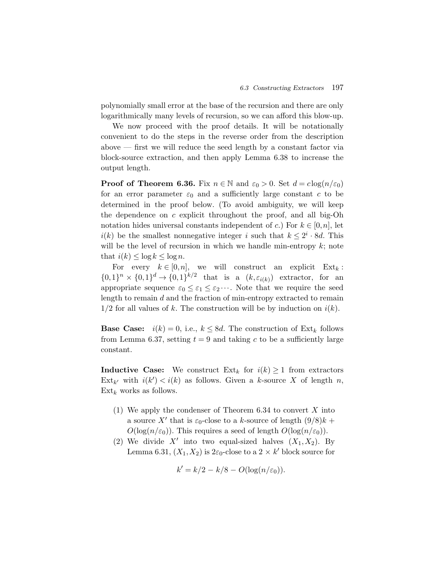polynomially small error at the base of the recursion and there are only logarithmically many levels of recursion, so we can afford this blow-up.

We now proceed with the proof details. It will be notationally convenient to do the steps in the reverse order from the description above  $-$  first we will reduce the seed length by a constant factor via block-source extraction, and then apply Lemma 6.38 to increase the output length.

**Proof of Theorem 6.36.** Fix  $n \in \mathbb{N}$  and  $\varepsilon_0 > 0$ . Set  $d = c \log(n/\varepsilon_0)$ for an error parameter  $\varepsilon_0$  and a sufficiently large constant c to be determined in the proof below. (To avoid ambiguity, we will keep the dependence on  $c$  explicit throughout the proof, and all big-Oh notation hides universal constants independent of c.) For  $k \in [0,n]$ , let  $i(k)$  be the smallest nonnegative integer i such that  $k \leq 2^i \cdot 8d$ . This will be the level of recursion in which we handle min-entropy  $k$ ; note that  $i(k) \leq \log k \leq \log n$ .

For every  $k \in [0,n]$ , we will construct an explicit  $\text{Ext}_k$ :  $\{0,1\}^n \times \{0,1\}^d \to \{0,1\}^{k/2}$  that is a  $(k,\varepsilon_{i(k)})$  extractor, for an appropriate sequence  $\varepsilon_0 \leq \varepsilon_1 \leq \varepsilon_2 \cdots$ . Note that we require the seed length to remain  $d$  and the fraction of min-entropy extracted to remain  $1/2$  for all values of k. The construction will be by induction on  $i(k)$ .

**Base Case:**  $i(k) = 0$ , i.e.,  $k \leq 8d$ . The construction of  $\text{Ext}_k$  follows from Lemma 6.37, setting  $t = 9$  and taking c to be a sufficiently large constant.

**Inductive Case:** We construct  $\text{Ext}_k$  for  $i(k) \geq 1$  from extractors  $\text{Ext}_{k'}$  with  $i(k') < i(k)$  as follows. Given a k-source X of length n,  $Ext_k$  works as follows.

- (1) We apply the condenser of Theorem  $6.34$  to convert X into a source X' that is  $\varepsilon_0$ -close to a k-source of length  $(9/8)k$  +  $O(\log(n/\varepsilon_0))$ . This requires a seed of length  $O(\log(n/\varepsilon_0))$ .
- (2) We divide X' into two equal-sized halves  $(X_1, X_2)$ . By Lemma 6.31,  $(X_1, X_2)$  is  $2\varepsilon_0$ -close to a  $2 \times k'$  block source for

$$
k'=k/2-k/8-O(\log(n/\varepsilon_0)).
$$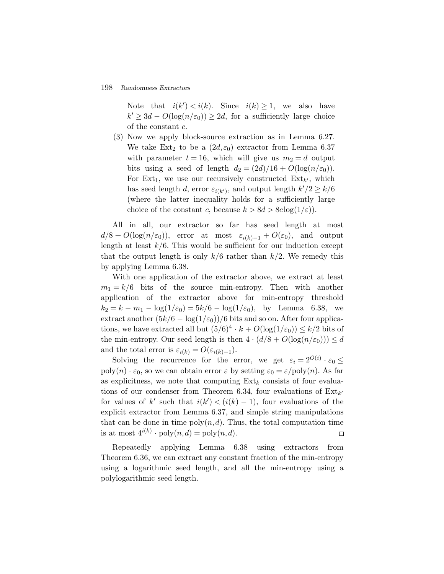Note that  $i(k') < i(k)$ . Since  $i(k) \geq 1$ , we also have  $k' \geq 3d - O(\log(n/\epsilon_0)) \geq 2d$ , for a sufficiently large choice of the constant c.

(3) Now we apply block-source extraction as in Lemma 6.27. We take Ext<sub>2</sub> to be a  $(2d,\varepsilon_0)$  extractor from Lemma 6.37 with parameter  $t = 16$ , which will give us  $m_2 = d$  output bits using a seed of length  $d_2 = (2d)/16 + O(\log(n/\varepsilon_0)).$ For  $Ext_1$ , we use our recursively constructed  $Ext_{k'}$ , which has seed length d, error  $\varepsilon_{i(k')}$ , and output length  $k'/2 \geq k/6$ (where the latter inequality holds for a sufficiently large choice of the constant c, because  $k > 8d > 8c \log(1/\varepsilon)$ .

All in all, our extractor so far has seed length at most  $d/8 + O(\log(n/\varepsilon_0))$ , error at most  $\varepsilon_{i(k)-1} + O(\varepsilon_0)$ , and output length at least  $k/6$ . This would be sufficient for our induction except that the output length is only  $k/6$  rather than  $k/2$ . We remedy this by applying Lemma 6.38.

With one application of the extractor above, we extract at least  $m_1 = k/6$  bits of the source min-entropy. Then with another application of the extractor above for min-entropy threshold  $k_2 = k - m_1 - \log(1/\varepsilon_0) = 5k/6 - \log(1/\varepsilon_0)$ , by Lemma 6.38, we extract another  $(5k/6 - \log(1/\varepsilon_0))/6$  bits and so on. After four applications, we have extracted all but  $(5/6)^4 \cdot k + O(\log(1/\varepsilon_0)) \leq k/2$  bits of the min-entropy. Our seed length is then  $4 \cdot (d/8 + O(\log(n/\varepsilon_0))) \leq d$ and the total error is  $\varepsilon_{i(k)} = O(\varepsilon_{i(k)-1}).$ 

Solving the recurrence for the error, we get  $\varepsilon_i = 2^{O(i)} \cdot \varepsilon_0 \leq$ poly $(n) \cdot \varepsilon_0$ , so we can obtain error  $\varepsilon$  by setting  $\varepsilon_0 = \varepsilon / \mathrm{poly}(n)$ . As far as explicitness, we note that computing  $Ext_k$  consists of four evaluations of our condenser from Theorem 6.34, four evaluations of  $\text{Ext}_{k'}$ for values of k' such that  $i(k') < (i(k) - 1)$ , four evaluations of the explicit extractor from Lemma 6.37, and simple string manipulations that can be done in time  $\text{poly}(n, d)$ . Thus, the total computation time is at most  $4^{i(k)} \cdot \text{poly}(n, d) = \text{poly}(n, d)$ .  $\Box$ 

Repeatedly applying Lemma 6.38 using extractors from Theorem 6.36, we can extract any constant fraction of the min-entropy using a logarithmic seed length, and all the min-entropy using a polylogarithmic seed length.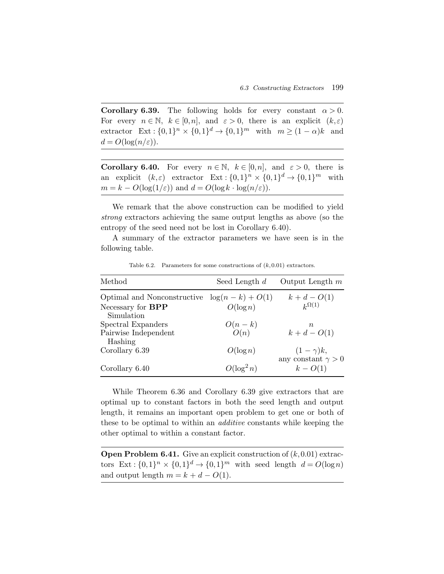**Corollary 6.39.** The following holds for every constant  $\alpha > 0$ . For every  $n \in \mathbb{N}$ ,  $k \in [0,n]$ , and  $\varepsilon > 0$ , there is an explicit  $(k,\varepsilon)$ extractor  $\text{Ext}: \{0,1\}^n \times \{0,1\}^d \to \{0,1\}^m$  with  $m \geq (1-\alpha)k$  and  $d = O(\log(n/\varepsilon)).$ 

**Corollary 6.40.** For every  $n \in \mathbb{N}$ ,  $k \in [0,n]$ , and  $\varepsilon > 0$ , there is an explicit  $(k,\varepsilon)$  extractor  $Ext: \{0,1\}^n \times \{0,1\}^d \rightarrow \{0,1\}^m$  with  $m = k - O(\log(1/\varepsilon))$  and  $d = O(\log k \cdot \log(n/\varepsilon)).$ 

We remark that the above construction can be modified to yield *strong* extractors achieving the same output lengths as above (so the entropy of the seed need not be lost in Corollary 6.40).

A summary of the extractor parameters we have seen is in the following table.

| Method                                                                    | Seed Length $d$  | Output Length $m$                           |
|---------------------------------------------------------------------------|------------------|---------------------------------------------|
| Optimal and Nonconstructive $log(n-k) + O(1)$<br>Necessary for <b>BPP</b> | $O(\log n)$      | $k + d - O(1)$<br>$k^{\Omega(1)}$           |
| Simulation<br>Spectral Expanders<br>Pairwise Independent                  | $O(n-k)$<br>O(n) | $\, n$<br>$k + d - O(1)$                    |
| Hashing<br>Corollary 6.39                                                 | $O(\log n)$      | $(1-\gamma)k,$<br>any constant $\gamma > 0$ |
| Corollary 6.40                                                            | $O(\log^2 n)$    | $k - O(1)$                                  |

Table 6.2. Parameters for some constructions of  $(k,0.01)$  extractors.

While Theorem 6.36 and Corollary 6.39 give extractors that are optimal up to constant factors in both the seed length and output length, it remains an important open problem to get one or both of these to be optimal to within an *additive* constants while keeping the other optimal to within a constant factor.

**Open Problem 6.41.** Give an explicit construction of  $(k,0.01)$  extractors Ext :  $\{0,1\}^n \times \{0,1\}^d \rightarrow \{0,1\}^m$  with seed length  $d = O(\log n)$ and output length  $m = k + d - O(1)$ .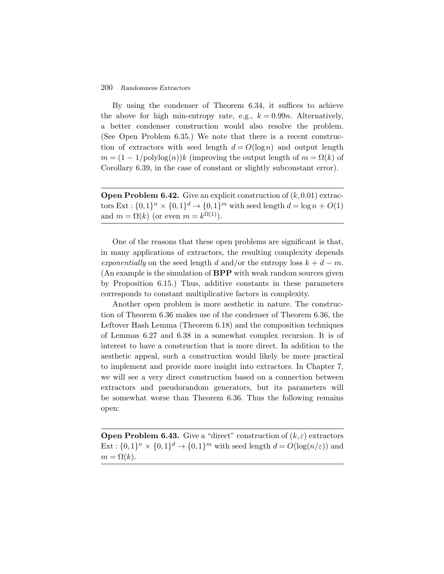By using the condenser of Theorem 6.34, it suffices to achieve the above for high min-entropy rate, e.g.,  $k = 0.99n$ . Alternatively, a better condenser construction would also resolve the problem. (See Open Problem 6.35.) We note that there is a recent construction of extractors with seed length  $d = O(\log n)$  and output length  $m = (1 - 1/\text{polylog}(n))k$  (improving the output length of  $m = \Omega(k)$  of Corollary 6.39, in the case of constant or slightly subconstant error).

**Open Problem 6.42.** Give an explicit construction of  $(k,0.01)$  extractors Ext :  $\{0,1\}^n \times \{0,1\}^d \rightarrow \{0,1\}^m$  with seed length  $d = \log n + O(1)$ and  $m = \Omega(k)$  (or even  $m = k^{\Omega(1)}$ ).

One of the reasons that these open problems are significant is that, in many applications of extractors, the resulting complexity depends *exponentially* on the seed length d and/or the entropy loss  $k + d - m$ . (An example is the simulation of **BPP** with weak random sources given by Proposition 6.15.) Thus, additive constants in these parameters corresponds to constant multiplicative factors in complexity.

Another open problem is more aesthetic in nature. The construction of Theorem 6.36 makes use of the condenser of Theorem 6.36, the Leftover Hash Lemma (Theorem 6.18) and the composition techniques of Lemmas 6.27 and 6.38 in a somewhat complex recursion. It is of interest to have a construction that is more direct. In addition to the aesthetic appeal, such a construction would likely be more practical to implement and provide more insight into extractors. In Chapter 7, we will see a very direct construction based on a connection between extractors and pseudorandom generators, but its parameters will be somewhat worse than Theorem 6.36. Thus the following remains open:

**Open Problem 6.43.** Give a "direct" construction of  $(k,\varepsilon)$  extractors Ext :  $\{0,1\}^n \times \{0,1\}^d \rightarrow \{0,1\}^m$  with seed length  $d = O(\log(n/\varepsilon))$  and  $m = \Omega(k)$ .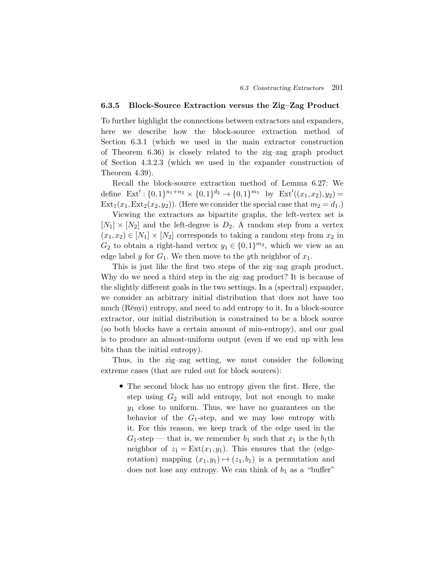# **6.3.5 Block-Source Extraction versus the Zig–Zag Product**

To further highlight the connections between extractors and expanders, here we describe how the block-source extraction method of Section 6.3.1 (which we used in the main extractor construction of Theorem 6.36) is closely related to the zig–zag graph product of Section 4.3.2.3 (which we used in the expander construction of Theorem 4.39).

Recall the block-source extraction method of Lemma 6.27: We define  $\text{Ext}' : \{0,1\}^{n_1+n_2} \times \{0,1\}^{d_2} \to \{0,1\}^{m_1}$  by  $\text{Ext}'((x_1,x_2),y_2) =$  $Ext_1(x_1, Ext_2(x_2,y_2))$ . (Here we consider the special case that  $m_2 = d_1$ .)

Viewing the extractors as bipartite graphs, the left-vertex set is  $[N_1] \times [N_2]$  and the left-degree is  $D_2$ . A random step from a vertex  $(x_1,x_2) \in [N_1] \times [N_2]$  corresponds to taking a random step from  $x_2$  in  $G_2$  to obtain a right-hand vertex  $y_1 \in \{0,1\}^{m_2}$ , which we view as an edge label y for  $G_1$ . We then move to the yth neighbor of  $x_1$ .

This is just like the first two steps of the zig–zag graph product. Why do we need a third step in the zig–zag product? It is because of the slightly different goals in the two settings. In a (spectral) expander, we consider an arbitrary initial distribution that does not have too much (Rényi) entropy, and need to add entropy to it. In a block-source extractor, our initial distribution is constrained to be a block source (so both blocks have a certain amount of min-entropy), and our goal is to produce an almost-uniform output (even if we end up with less bits than the initial entropy).

Thus, in the zig–zag setting, we must consider the following extreme cases (that are ruled out for block sources):

• The second block has no entropy given the first. Here, the step using  $G_2$  will add entropy, but not enough to make  $y_1$  close to uniform. Thus, we have no guarantees on the behavior of the  $G_1$ -step, and we may lose entropy with it. For this reason, we keep track of the edge used in the  $G_1$ -step — that is, we remember  $b_1$  such that  $x_1$  is the  $b_1$ th neighbor of  $z_1 = \text{Ext}(x_1, y_1)$ . This ensures that the (edgerotation) mapping  $(x_1,y_1) \mapsto (z_1,b_1)$  is a permutation and does not lose any entropy. We can think of  $b_1$  as a "buffer"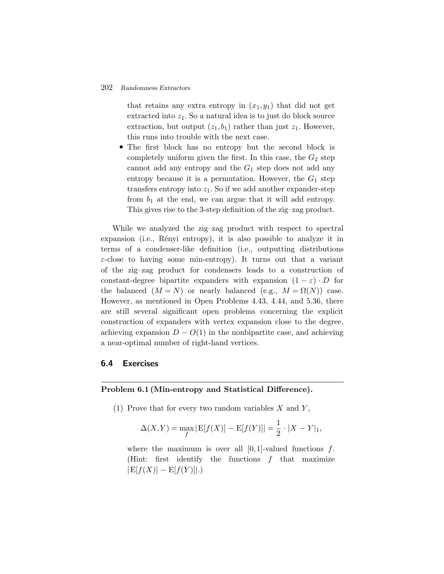that retains any extra entropy in  $(x_1,y_1)$  that did not get extracted into  $z_1$ . So a natural idea is to just do block source extraction, but output  $(z_1, b_1)$  rather than just  $z_1$ . However, this runs into trouble with the next case.

• The first block has no entropy but the second block is completely uniform given the first. In this case, the  $G_2$  step cannot add any entropy and the  $G_1$  step does not add any entropy because it is a permutation. However, the  $G_1$  step transfers entropy into  $z_1$ . So if we add another expander-step from  $b_1$  at the end, we can argue that it will add entropy. This gives rise to the 3-step definition of the zig–zag product.

While we analyzed the zig–zag product with respect to spectral expansion (i.e., Rényi entropy), it is also possible to analyze it in terms of a condenser-like definition (i.e., outputting distributions  $\varepsilon$ -close to having some min-entropy). It turns out that a variant of the zig–zag product for condensers leads to a construction of constant-degree bipartite expanders with expansion  $(1 - \varepsilon) \cdot D$  for the balanced  $(M = N)$  or nearly balanced (e.g.,  $M = \Omega(N)$ ) case. However, as mentioned in Open Problems 4.43, 4.44, and 5.36, there are still several significant open problems concerning the explicit construction of expanders with vertex expansion close to the degree, achieving expansion  $D - O(1)$  in the nonbipartite case, and achieving a near-optimal number of right-hand vertices.

# **6.4 Exercises**

#### **Problem 6.1 (Min-entropy and Statistical Difference).**

(1) Prove that for every two random variables  $X$  and  $Y$ ,

$$
\Delta(X,Y) = \max_{f} |E[f(X)] - E[f(Y)]| = \frac{1}{2} \cdot |X - Y|_1,
$$

where the maximum is over all  $[0,1]$ -valued functions f. (Hint: first identify the functions  $f$  that maximize  $|E[f(X)] - E[f(Y)]|$ .)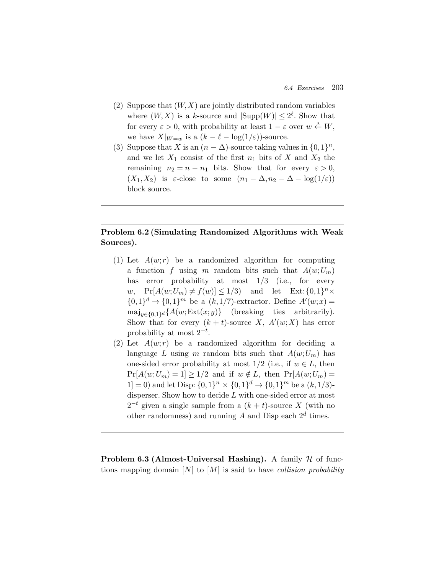- (2) Suppose that  $(W, X)$  are jointly distributed random variables where  $(W, X)$  is a k-source and  $|\text{Supp}(W)| \leq 2^{\ell}$ . Show that for every  $\varepsilon > 0$ , with probability at least  $1 - \varepsilon$  over  $w \stackrel{\text{R}}{\leftarrow} W$ , we have  $X|_{W=w}$  is a  $(k - \ell - \log(1/\varepsilon))$ -source.
- (3) Suppose that X is an  $(n \Delta)$ -source taking values in  $\{0,1\}^n$ , and we let  $X_1$  consist of the first  $n_1$  bits of X and  $X_2$  the remaining  $n_2 = n - n_1$  bits. Show that for every  $\varepsilon > 0$ ,  $(X_1, X_2)$  is  $\varepsilon$ -close to some  $(n_1 - \Delta, n_2 - \Delta - \log(1/\varepsilon))$ block source.

# **Problem 6.2 (Simulating Randomized Algorithms with Weak Sources).**

- (1) Let  $A(w;r)$  be a randomized algorithm for computing a function f using m random bits such that  $A(w;U_m)$ has error probability at most  $1/3$  (i.e., for every w,  $\Pr[A(w;U_m) \neq f(w)] \leq 1/3$  and let  $\operatorname{Ext}: \{0,1\}^n \times$  $\{0,1\}^d \to \{0,1\}^m$  be a  $(k,1/7)$ -extractor. Define  $A'(w;x) =$  $\text{maj}_{y \in \{0,1\}^d} \{A(w; \text{Ext}(x, y))\}$  (breaking ties arbitrarily). Show that for every  $(k + t)$ -source X,  $A'(w;X)$  has error probability at most  $2^{-t}$ .
- (2) Let  $A(w;r)$  be a randomized algorithm for deciding a language L using m random bits such that  $A(w;U_m)$  has one-sided error probability at most  $1/2$  (i.e., if  $w \in L$ , then  $Pr[A(w;U_m) = 1] \geq 1/2$  and if  $w \notin L$ , then  $Pr[A(w;U_m) =$ 1] = 0) and let Disp:  $\{0,1\}^n \times \{0,1\}^d \rightarrow \{0,1\}^m$  be a  $(k,1/3)$ disperser. Show how to decide  $L$  with one-sided error at most  $2^{-t}$  given a single sample from a  $(k + t)$ -source X (with no other randomness) and running  $A$  and Disp each  $2^d$  times.

**Problem 6.3 (Almost-Universal Hashing).** A family  $H$  of functions mapping domain [N] to [M] is said to have *collision probability*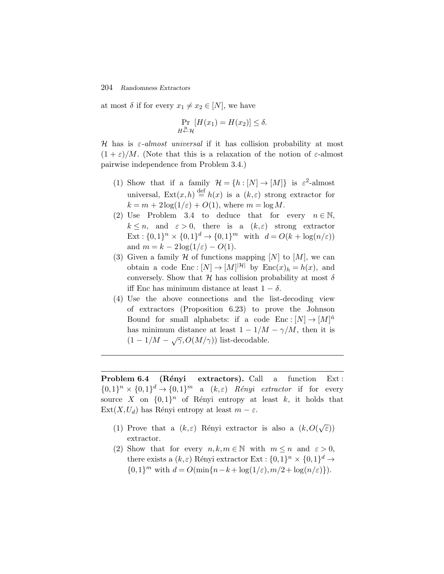at most  $\delta$  if for every  $x_1 \neq x_2 \in [N]$ , we have

$$
\Pr_{H \stackrel{\text{R}}{\leftarrow} \mathcal{H}} [H(x_1) = H(x_2)] \le \delta.
$$

H has is ε*-almost universal* if it has collision probability at most  $(1 + \varepsilon)/M$ . (Note that this is a relaxation of the notion of  $\varepsilon$ -almost pairwise independence from Problem 3.4.)

- (1) Show that if a family  $\mathcal{H} = \{h : [N] \to [M]\}$  is  $\varepsilon^2$ -almost universal,  $\text{Ext}(x,h) \stackrel{\text{def}}{=} h(x)$  is a  $(k,\varepsilon)$  strong extractor for  $k = m + 2\log(1/\varepsilon) + O(1)$ , where  $m = \log M$ .
- (2) Use Problem 3.4 to deduce that for every  $n \in \mathbb{N}$ ,  $k \leq n$ , and  $\varepsilon > 0$ , there is a  $(k,\varepsilon)$  strong extractor  $\text{Ext}: \{0,1\}^n \times \{0,1\}^d \to \{0,1\}^m \text{ with } d = O(k + \log(n/\varepsilon))$ and  $m = k - 2\log(1/\varepsilon) - O(1)$ .
- (3) Given a family  $\mathcal H$  of functions mapping  $[N]$  to  $[M]$ , we can obtain a code  $\text{Enc} : [N] \to [M]^{|\mathcal{H}|}$  by  $\text{Enc}(x)_h = h(x)$ , and conversely. Show that  $\mathcal H$  has collision probability at most  $\delta$ iff Enc has minimum distance at least  $1 - \delta$ .
- (4) Use the above connections and the list-decoding view of extractors (Proposition 6.23) to prove the Johnson Bound for small alphabets: if a code  $\text{Enc}: [N] \to [M]^{\hat{n}}$ has minimum distance at least  $1 - 1/M - \gamma/M$ , then it is  $(1 - 1/M - \sqrt{\gamma}, O(M/\gamma))$  list-decodable.

**Problem 6.4** (Rényi extractors). Call a function Ext:  $\{0,1\}^n \times \{0,1\}^d \rightarrow \{0,1\}^m$  a  $(k,\varepsilon)$  *Rényi extractor* if for every source X on  $\{0,1\}^n$  of Rényi entropy at least k, it holds that  $Ext(X, U_d)$  has Rényi entropy at least  $m - \varepsilon$ .

- (1) Prove that a  $(k,\varepsilon)$  Rényi extractor is also a  $(k, O(\sqrt{\varepsilon}))$ extractor.
- (2) Show that for every  $n, k, m \in \mathbb{N}$  with  $m \leq n$  and  $\varepsilon > 0$ , there exists a  $(k,\varepsilon)$  Rényi extractor Ext :  $\{0,1\}^n \times \{0,1\}^d \rightarrow$  ${0,1}^m$  with  $d = O(\min\{n-k+\log(1/\varepsilon), m/2+\log(n/\varepsilon)\}).$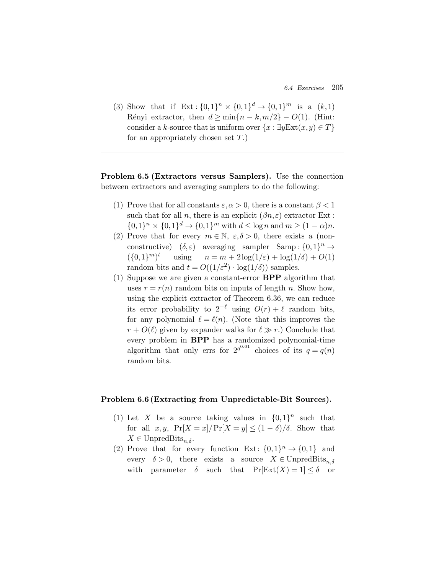*6.4 Exercises* 205

(3) Show that if  $Ext: \{0,1\}^n \times \{0,1\}^d \rightarrow \{0,1\}^m$  is a  $(k,1)$ Rényi extractor, then  $d \ge \min\{n - k, m/2\} - O(1)$ . (Hint: consider a k-source that is uniform over  $\{x : \exists y \in \mathbb{X} \mid x, y) \in T\}$ for an appropriately chosen set  $T$ .)

**Problem 6.5 (Extractors versus Samplers).** Use the connection between extractors and averaging samplers to do the following:

- (1) Prove that for all constants  $\varepsilon, \alpha > 0$ , there is a constant  $\beta < 1$ such that for all n, there is an explicit  $(\beta n, \varepsilon)$  extractor Ext:  $\{0,1\}^n \times \{0,1\}^d \to \{0,1\}^m$  with  $d \leq \log n$  and  $m \geq (1 - \alpha)n$ .
- (2) Prove that for every  $m \in \mathbb{N}$ ,  $\varepsilon, \delta > 0$ , there exists a (nonconstructive)  $(\delta, \varepsilon)$  averaging sampler Samp :  $\{0, 1\}^n \rightarrow$  $({0,1})^m$ <sup>t</sup> using  $n = m + 2\log(1/\varepsilon) + \log(1/\delta) + O(1)$ random bits and  $t = O((1/\varepsilon^2) \cdot \log(1/\delta))$  samples.
- (1) Suppose we are given a constant-error **BPP** algorithm that uses  $r = r(n)$  random bits on inputs of length n. Show how, using the explicit extractor of Theorem 6.36, we can reduce its error probability to  $2^{-\ell}$  using  $O(r) + \ell$  random bits, for any polynomial  $\ell = \ell(n)$ . (Note that this improves the  $r + O(\ell)$  given by expander walks for  $\ell \gg r$ .) Conclude that every problem in **BPP** has a randomized polynomial-time algorithm that only errs for  $2^{q^{0.01}}$  choices of its  $q = q(n)$ random bits.

# **Problem 6.6 (Extracting from Unpredictable-Bit Sources).**

- (1) Let X be a source taking values in  $\{0,1\}^n$  such that for all  $x,y$ ,  $Pr[X = x]/Pr[X = y] \le (1 - \delta)/\delta$ . Show that  $X \in \text{UnpredBits}_{n,\delta}.$
- (2) Prove that for every function Ext:  $\{0,1\}^n \rightarrow \{0,1\}$  and every  $\delta > 0$ , there exists a source  $X \in \text{UnpredBits}_{n,\delta}$ with parameter  $\delta$  such that  $Pr[Ext(X) = 1] \leq \delta$  or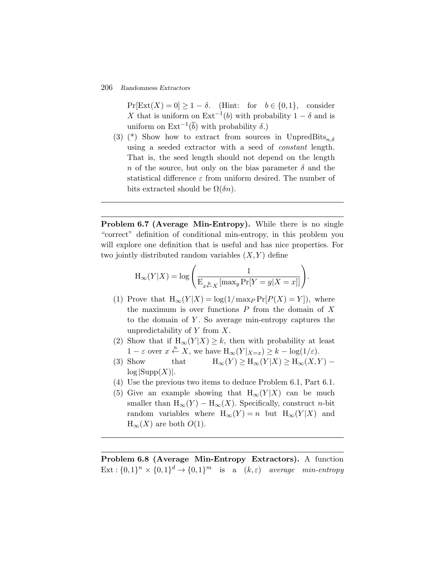$Pr[Ext(X) = 0] \ge 1 - \delta$ . (Hint: for  $b \in \{0,1\}$ , consider X that is uniform on  $\text{Ext}^{-1}(b)$  with probability  $1 - \delta$  and is uniform on  $\text{Ext}^{-1}(\overline{b})$  with probability  $\delta$ .)

(3) (\*) Show how to extract from sources in UnpredBits<sub>n,δ</sub> using a seeded extractor with a seed of *constant* length. That is, the seed length should not depend on the length n of the source, but only on the bias parameter  $\delta$  and the statistical difference  $\varepsilon$  from uniform desired. The number of bits extracted should be  $\Omega(\delta n)$ .

**Problem 6.7 (Average Min-Entropy).** While there is no single "correct" definition of conditional min-entropy, in this problem you will explore one definition that is useful and has nice properties. For two jointly distri "correct" definition of conditional min-entropy, in this problem you will explore one definition that is useful and has nice properties. For two jointly distributed random variables  $(X, Y)$  define

$$
H_{\infty}(Y|X) = \log \left( \frac{1}{E_{x \stackrel{R}{\leftarrow} X} [\max_{y} Pr[Y = y | X = x]]} \right).
$$

- (1) Prove that  $H_{\infty}(Y|X) = \log(1/\max_{P} \Pr[P(X) = Y])$ , where the maximum is over functions  $P$  from the domain of  $X$ to the domain of  $Y$ . So average min-entropy captures the unpredictability of  $Y$  from  $X$ .
- (2) Show that if  $H_{\infty}(Y|X) \geq k$ , then with probability at least  $1 - \varepsilon$  over  $x \stackrel{\text{R}}{\leftarrow} X$ , we have  $H_{\infty}(Y |_{X=x}) \geq k - \log(1/\varepsilon)$ .
- (3) Show that  $H_{\infty}(Y) \ge H_{\infty}(Y|X) \ge H_{\infty}(X,Y)$   $log |Supp(X)|$ .
- (4) Use the previous two items to deduce Problem 6.1, Part 6.1.
- (5) Give an example showing that  $H_{\infty}(Y|X)$  can be much smaller than  $H_{\infty}(Y) - H_{\infty}(X)$ . Specifically, construct *n*-bit random variables where  $H_{\infty}(Y) = n$  but  $H_{\infty}(Y|X)$  and  $H_{\infty}(X)$  are both  $O(1)$ .

**Problem 6.8 (Average Min-Entropy Extractors).** A function  $Ext: \{0,1\}^n \times \{0,1\}^d \rightarrow \{0,1\}^m$  is a  $(k,\varepsilon)$  *average min-entropy*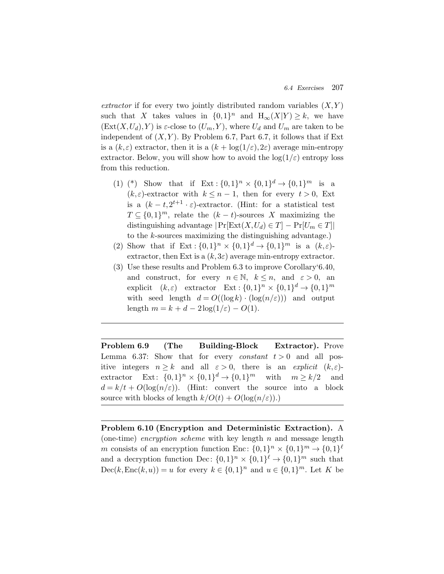*extractor* if for every two jointly distributed random variables  $(X, Y)$ such that X takes values in  ${0,1}^n$  and  $H_{\infty}(X|Y) \geq k$ , we have  $(Ext(X, U_d), Y)$  is  $\varepsilon$ -close to  $(U_m, Y)$ , where  $U_d$  and  $U_m$  are taken to be independent of  $(X, Y)$ . By Problem 6.7, Part 6.7, it follows that if Ext is a  $(k,\varepsilon)$  extractor, then it is a  $(k + \log(1/\varepsilon), 2\varepsilon)$  average min-entropy extractor. Below, you will show how to avoid the  $log(1/\varepsilon)$  entropy loss from this reduction.

- (1) (\*) Show that if  $Ext: \{0,1\}^n \times \{0,1\}^d \rightarrow \{0,1\}^m$  is a  $(k, \varepsilon)$ -extractor with  $k \leq n-1$ , then for every  $t > 0$ , Ext is a  $(k - t, 2^{t+1} \cdot \varepsilon)$ -extractor. (Hint: for a statistical test  $T \subseteq \{0,1\}^m$ , relate the  $(k-t)$ -sources X maximizing the distinguishing advantage  $|\Pr[\text{Ext}(X, U_d) \in T] - \Pr[U_m \in T]|$ to the k-sources maximizing the distinguishing advantage.)
- (2) Show that if  $Ext: \{0,1\}^n \times \{0,1\}^d \rightarrow \{0,1\}^m$  is a  $(k,\varepsilon)$ extractor, then Ext is a  $(k,3\varepsilon)$  average min-entropy extractor.
- (3) Use these results and Problem 6.3 to improve Corollary'6.40, and construct, for every  $n \in \mathbb{N}$ ,  $k \leq n$ , and  $\varepsilon > 0$ , an explicit  $(k,\varepsilon)$  extractor  $\operatorname{Ext} : \{0,1\}^n \times \{0,1\}^d \to \{0,1\}^m$ with seed length  $d = O((\log k) \cdot (\log(n/\varepsilon)))$  and output length  $m = k + d - 2\log(1/\varepsilon) - O(1)$ .

**Problem 6.9 (The Building-Block Extractor).** Prove Lemma 6.37: Show that for every *constant*  $t > 0$  and all positive integers  $n \geq k$  and all  $\varepsilon > 0$ , there is an *explicit*  $(k, \varepsilon)$ extractor Ext:  $\{0,1\}^n \times \{0,1\}^d \to \{0,1\}^m$  with  $m \ge k/2$  and  $d = k/t + O(\log(n/\varepsilon))$ . (Hint: convert the source into a block source with blocks of length  $k/O(t) + O(\log(n/\varepsilon)).$ 

**Problem 6.10 (Encryption and Deterministic Extraction).** A (one-time) *encryption scheme* with key length n and message length m consists of an encryption function Enc:  $\{0,1\}^n \times \{0,1\}^m \rightarrow \{0,1\}^{\ell}$ and a decryption function Dec:  $\{0,1\}^n \times \{0,1\}^{\ell} \to \{0,1\}^m$  such that  $Dec(k, Enc(k, u)) = u$  for every  $k \in \{0, 1\}^n$  and  $u \in \{0, 1\}^m$ . Let K be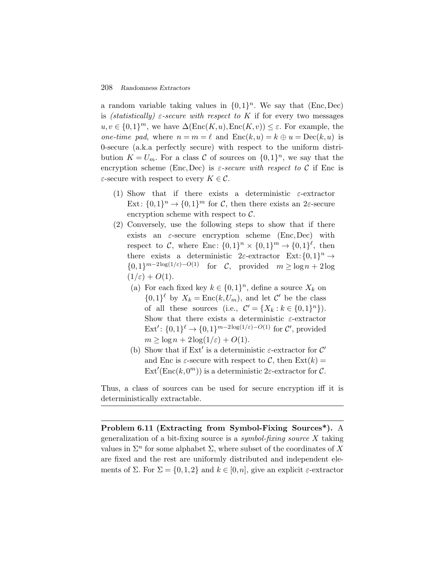a random variable taking values in  $\{0,1\}^n$ . We say that (Enc,Dec) is *(statistically)*  $\varepsilon$ -secure with respect to K if for every two messages  $u, v \in \{0,1\}^m$ , we have  $\Delta(\text{Enc}(K, u), \text{Enc}(K, v)) \leq \varepsilon$ . For example, the *one-time pad*, where  $n = m = \ell$  and  $Enc(k, u) = k \oplus u = Dec(k, u)$  is 0-secure (a.k.a perfectly secure) with respect to the uniform distribution  $K = U_m$ . For a class C of sources on  $\{0,1\}^n$ , we say that the encryption scheme (Enc,Dec) is  $\varepsilon$ -secure with respect to C if Enc is  $\varepsilon$ -secure with respect to every  $K \in \mathcal{C}$ .

- (1) Show that if there exists a deterministic  $\varepsilon$ -extractor Ext:  $\{0,1\}^n \to \{0,1\}^m$  for C, then there exists an 2 $\varepsilon$ -secure encryption scheme with respect to  $C$ .
- (2) Conversely, use the following steps to show that if there exists an  $\varepsilon$ -secure encryption scheme (Enc,Dec) with respect to C, where Enc:  $\{0,1\}^n \times \{0,1\}^m \rightarrow \{0,1\}^{\ell}$ , then there exists a deterministic 2 $\varepsilon$ -extractor Ext: {0,1}<sup>n</sup>  $\rightarrow$  $\{0,1\}^{m-2\log(1/\varepsilon)-O(1)}$  for C, provided  $m \geq \log n + 2\log$  $(1/\varepsilon) + O(1)$ .
	- (a) For each fixed key  $k \in \{0,1\}^n$ , define a source  $X_k$  on  $\{0,1\}^{\ell}$  by  $X_k = \text{Enc}(k, U_m)$ , and let  $\mathcal{C}'$  be the class of all these sources (i.e.,  $\mathcal{C}' = \{X_k : k \in \{0,1\}^n\}.$ Show that there exists a deterministic  $\varepsilon$ -extractor  $\text{Ext}': \{0,1\}^{\ell} \to \{0,1\}^{m-2\log(1/\varepsilon)-O(1)}$  for  $\mathcal{C}'$ , provided  $m \geq \log n + 2\log(1/\varepsilon) + O(1).$
	- (b) Show that if  $Ext'$  is a deterministic  $\varepsilon$ -extractor for  $\mathcal{C}'$ and Enc is  $\varepsilon$ -secure with respect to C, then  $\text{Ext}(k) =$  $\text{Ext}'(\text{Enc}(k, 0^m))$  is a deterministic 2 $\varepsilon$ -extractor for C.

Thus, a class of sources can be used for secure encryption iff it is deterministically extractable.

**Problem 6.11 (Extracting from Symbol-Fixing Sources\*).** A generalization of a bit-fixing source is a *symbol-fixing source* X taking values in  $\Sigma^n$  for some alphabet  $\Sigma$ , where subset of the coordinates of X are fixed and the rest are uniformly distributed and independent elements of  $\Sigma$ . For  $\Sigma = \{0,1,2\}$  and  $k \in [0,n]$ , give an explicit  $\varepsilon$ -extractor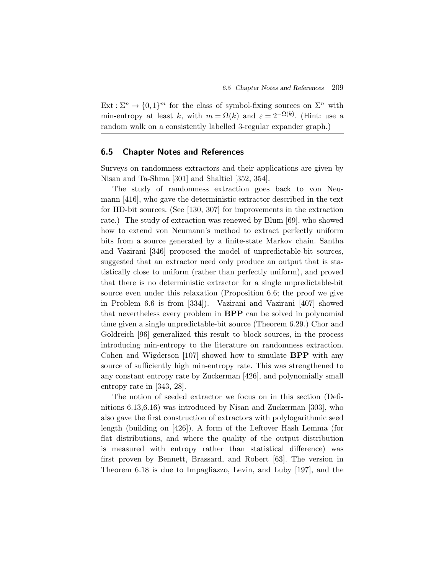$Ext: \Sigma^n \to \{0,1\}^m$  for the class of symbol-fixing sources on  $\Sigma^n$  with min-entropy at least k, with  $m = \Omega(k)$  and  $\varepsilon = 2^{-\Omega(k)}$ . (Hint: use a random walk on a consistently labelled 3-regular expander graph.)

# **6.5 Chapter Notes and References**

Surveys on randomness extractors and their applications are given by Nisan and Ta-Shma [301] and Shaltiel [352, 354].

The study of randomness extraction goes back to von Neumann [416], who gave the deterministic extractor described in the text for IID-bit sources. (See [130, 307] for improvements in the extraction rate.) The study of extraction was renewed by Blum [69], who showed how to extend von Neumann's method to extract perfectly uniform bits from a source generated by a finite-state Markov chain. Santha and Vazirani [346] proposed the model of unpredictable-bit sources, suggested that an extractor need only produce an output that is statistically close to uniform (rather than perfectly uniform), and proved that there is no deterministic extractor for a single unpredictable-bit source even under this relaxation (Proposition 6.6; the proof we give in Problem 6.6 is from [334]). Vazirani and Vazirani [407] showed that nevertheless every problem in **BPP** can be solved in polynomial time given a single unpredictable-bit source (Theorem 6.29.) Chor and Goldreich [96] generalized this result to block sources, in the process introducing min-entropy to the literature on randomness extraction. Cohen and Wigderson [107] showed how to simulate **BPP** with any source of sufficiently high min-entropy rate. This was strengthened to any constant entropy rate by Zuckerman [426], and polynomially small entropy rate in [343, 28].

The notion of seeded extractor we focus on in this section (Definitions 6.13,6.16) was introduced by Nisan and Zuckerman [303], who also gave the first construction of extractors with polylogarithmic seed length (building on [426]). A form of the Leftover Hash Lemma (for flat distributions, and where the quality of the output distribution is measured with entropy rather than statistical difference) was first proven by Bennett, Brassard, and Robert [63]. The version in Theorem 6.18 is due to Impagliazzo, Levin, and Luby [197], and the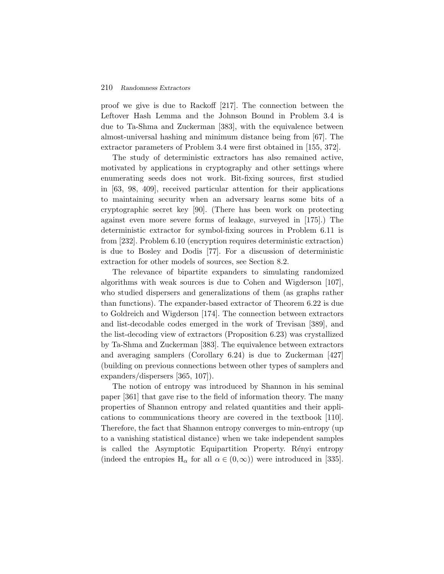proof we give is due to Rackoff [217]. The connection between the Leftover Hash Lemma and the Johnson Bound in Problem 3.4 is due to Ta-Shma and Zuckerman [383], with the equivalence between almost-universal hashing and minimum distance being from [67]. The extractor parameters of Problem 3.4 were first obtained in [155, 372].

The study of deterministic extractors has also remained active, motivated by applications in cryptography and other settings where enumerating seeds does not work. Bit-fixing sources, first studied in [63, 98, 409], received particular attention for their applications to maintaining security when an adversary learns some bits of a cryptographic secret key [90]. (There has been work on protecting against even more severe forms of leakage, surveyed in [175].) The deterministic extractor for symbol-fixing sources in Problem 6.11 is from [232]. Problem 6.10 (encryption requires deterministic extraction) is due to Bosley and Dodis [77]. For a discussion of deterministic extraction for other models of sources, see Section 8.2.

The relevance of bipartite expanders to simulating randomized algorithms with weak sources is due to Cohen and Wigderson [107], who studied dispersers and generalizations of them (as graphs rather than functions). The expander-based extractor of Theorem 6.22 is due to Goldreich and Wigderson [174]. The connection between extractors and list-decodable codes emerged in the work of Trevisan [389], and the list-decoding view of extractors (Proposition 6.23) was crystallized by Ta-Shma and Zuckerman [383]. The equivalence between extractors and averaging samplers (Corollary 6.24) is due to Zuckerman [427] (building on previous connections between other types of samplers and expanders/dispersers [365, 107]).

The notion of entropy was introduced by Shannon in his seminal paper [361] that gave rise to the field of information theory. The many properties of Shannon entropy and related quantities and their applications to communications theory are covered in the textbook [110]. Therefore, the fact that Shannon entropy converges to min-entropy (up to a vanishing statistical distance) when we take independent samples is called the Asymptotic Equipartition Property. Rényi entropy (indeed the entropies  $H_{\alpha}$  for all  $\alpha \in (0,\infty)$ ) were introduced in [335].